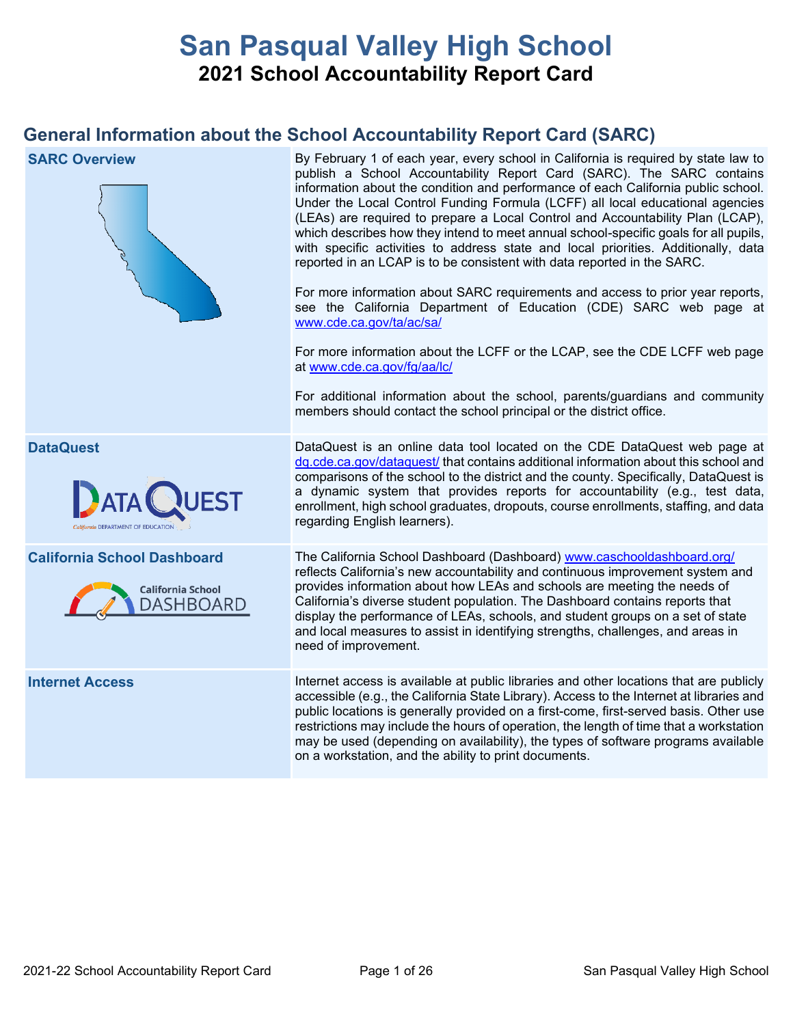# **San Pasqual Valley High School 2021 School Accountability Report Card**

# **General Information about the School Accountability Report Card (SARC)**

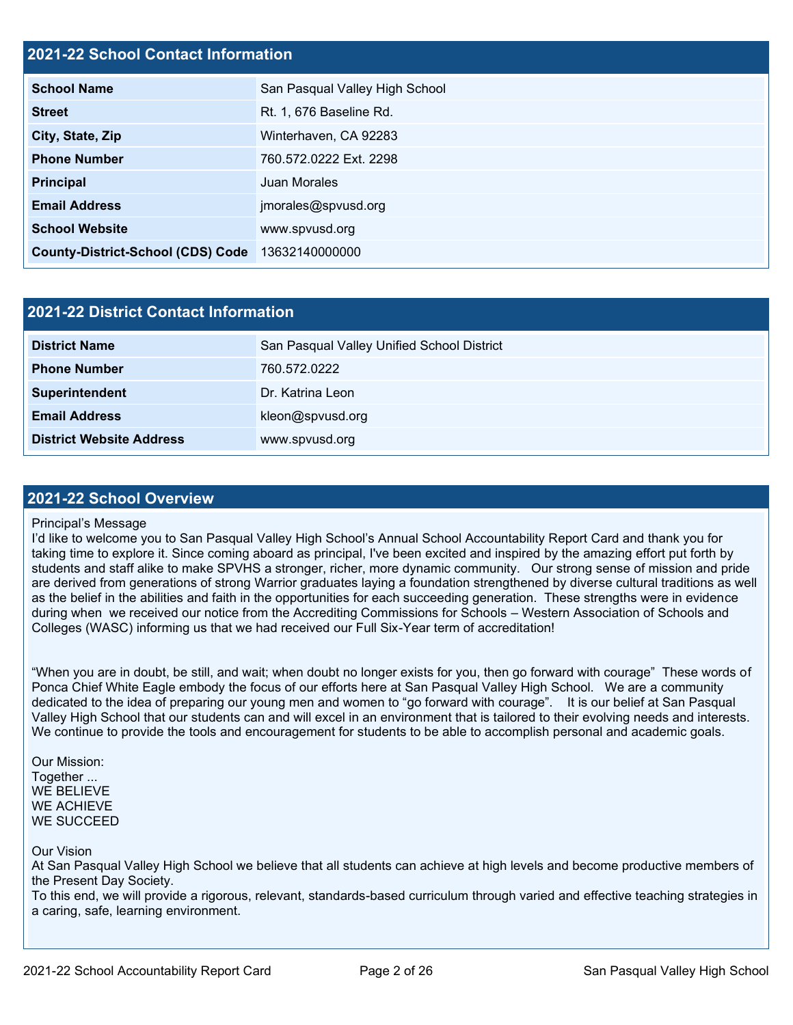### **2021-22 School Contact Information**

| <b>School Name</b>                       | San Pasqual Valley High School |  |  |  |
|------------------------------------------|--------------------------------|--|--|--|
| <b>Street</b>                            | Rt. 1, 676 Baseline Rd.        |  |  |  |
| City, State, Zip                         | Winterhaven, CA 92283          |  |  |  |
| <b>Phone Number</b>                      | 760.572.0222 Ext. 2298         |  |  |  |
| <b>Principal</b>                         | <b>Juan Morales</b>            |  |  |  |
| <b>Email Address</b>                     | jmorales@spvusd.org            |  |  |  |
| <b>School Website</b>                    | www.spvusd.org                 |  |  |  |
| <b>County-District-School (CDS) Code</b> | 13632140000000                 |  |  |  |

| 2021-22 District Contact Information |                                            |  |  |  |  |
|--------------------------------------|--------------------------------------------|--|--|--|--|
| <b>District Name</b>                 | San Pasqual Valley Unified School District |  |  |  |  |
| <b>Phone Number</b>                  | 760.572.0222                               |  |  |  |  |
| Superintendent                       | Dr. Katrina Leon                           |  |  |  |  |
| <b>Email Address</b>                 | kleon@spvusd.org                           |  |  |  |  |
| <b>District Website Address</b>      | www.spvusd.org                             |  |  |  |  |

#### **2021-22 School Overview**

#### Principal's Message

I'd like to welcome you to San Pasqual Valley High School's Annual School Accountability Report Card and thank you for taking time to explore it. Since coming aboard as principal, I've been excited and inspired by the amazing effort put forth by students and staff alike to make SPVHS a stronger, richer, more dynamic community. Our strong sense of mission and pride are derived from generations of strong Warrior graduates laying a foundation strengthened by diverse cultural traditions as well as the belief in the abilities and faith in the opportunities for each succeeding generation. These strengths were in evidence during when we received our notice from the Accrediting Commissions for Schools – Western Association of Schools and Colleges (WASC) informing us that we had received our Full Six-Year term of accreditation!

"When you are in doubt, be still, and wait; when doubt no longer exists for you, then go forward with courage" These words of Ponca Chief White Eagle embody the focus of our efforts here at San Pasqual Valley High School. We are a community dedicated to the idea of preparing our young men and women to "go forward with courage". It is our belief at San Pasqual Valley High School that our students can and will excel in an environment that is tailored to their evolving needs and interests. We continue to provide the tools and encouragement for students to be able to accomplish personal and academic goals.

Our Mission: Together ... WE BELIEVE WE ACHIEVE WE SUCCEED

Our Vision

At San Pasqual Valley High School we believe that all students can achieve at high levels and become productive members of the Present Day Society.

To this end, we will provide a rigorous, relevant, standards-based curriculum through varied and effective teaching strategies in a caring, safe, learning environment.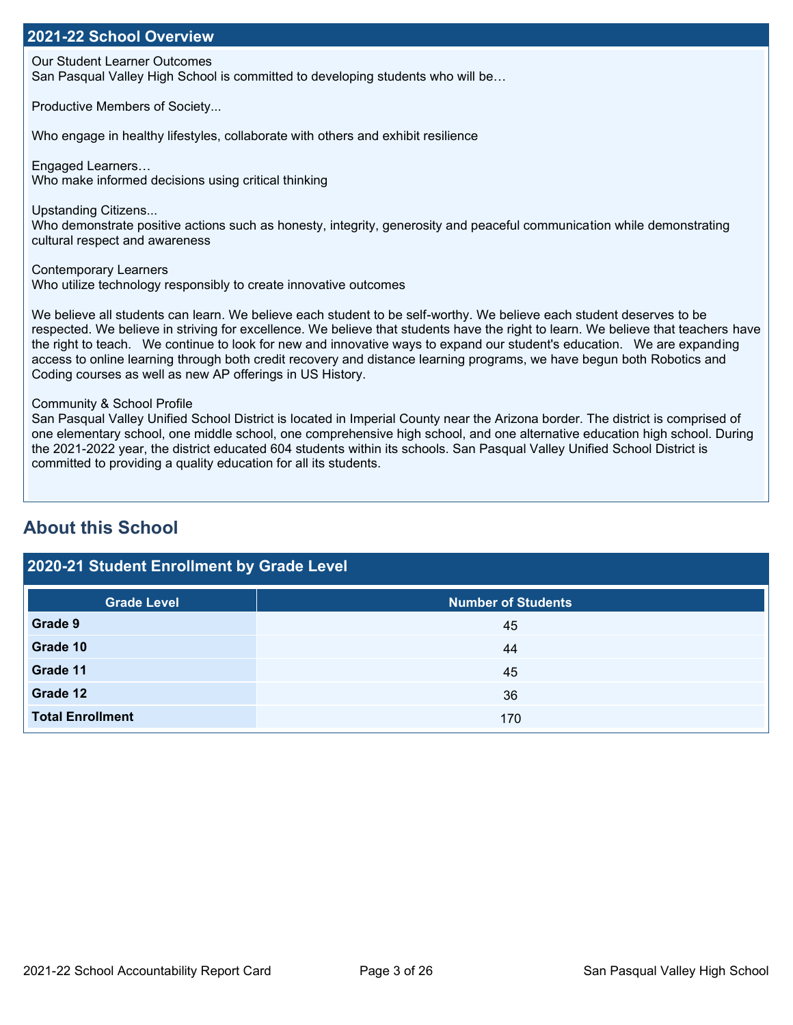### **2021-22 School Overview**

Our Student Learner Outcomes

San Pasqual Valley High School is committed to developing students who will be…

Productive Members of Society...

Who engage in healthy lifestyles, collaborate with others and exhibit resilience

Engaged Learners… Who make informed decisions using critical thinking

Upstanding Citizens... Who demonstrate positive actions such as honesty, integrity, generosity and peaceful communication while demonstrating cultural respect and awareness

Contemporary Learners Who utilize technology responsibly to create innovative outcomes

We believe all students can learn. We believe each student to be self-worthy. We believe each student deserves to be respected. We believe in striving for excellence. We believe that students have the right to learn. We believe that teachers have the right to teach. We continue to look for new and innovative ways to expand our student's education. We are expanding access to online learning through both credit recovery and distance learning programs, we have begun both Robotics and Coding courses as well as new AP offerings in US History.

Community & School Profile

San Pasqual Valley Unified School District is located in Imperial County near the Arizona border. The district is comprised of one elementary school, one middle school, one comprehensive high school, and one alternative education high school. During the 2021-2022 year, the district educated 604 students within its schools. San Pasqual Valley Unified School District is committed to providing a quality education for all its students.

# **About this School**

# **2020-21 Student Enrollment by Grade Level Grade Level Number of Students Grade 9** 45 **Grade 10** 44 **Grade 11** 45 **Grade 12** 36 **Total Enrollment** 170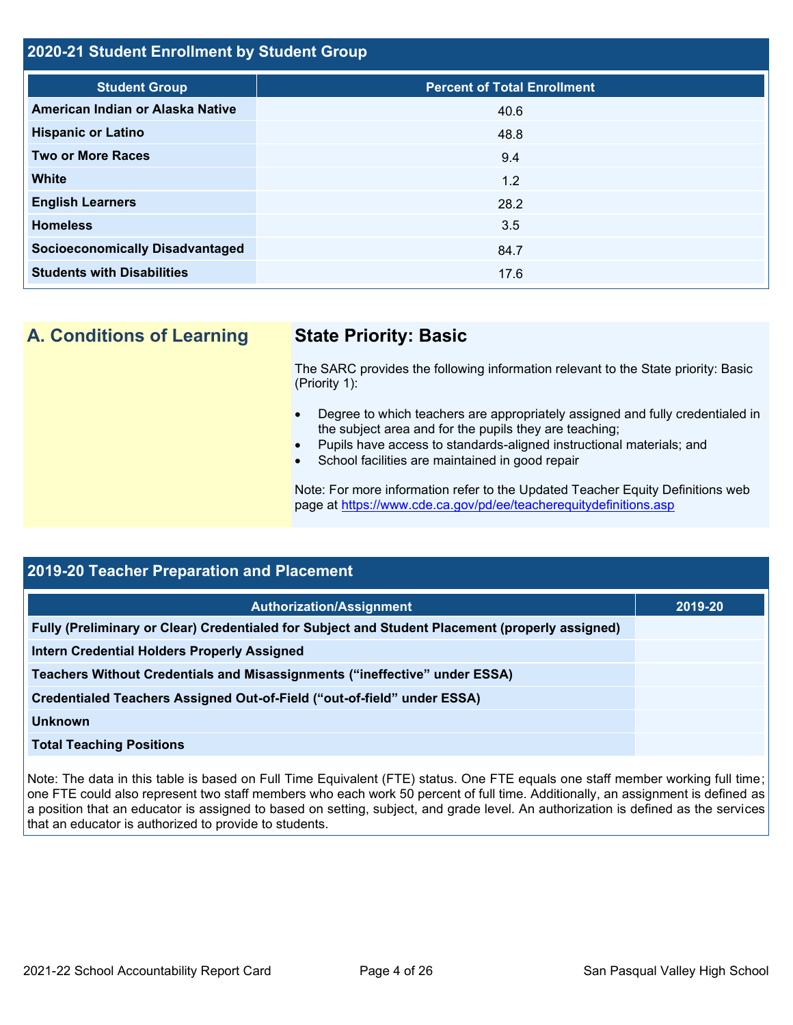#### **2020-21 Student Enrollment by Student Group**

| <b>Student Group</b>                   | <b>Percent of Total Enrollment</b> |
|----------------------------------------|------------------------------------|
| American Indian or Alaska Native       | 40.6                               |
| <b>Hispanic or Latino</b>              | 48.8                               |
| <b>Two or More Races</b>               | 9.4                                |
| <b>White</b>                           | 1.2                                |
| <b>English Learners</b>                | 28.2                               |
| <b>Homeless</b>                        | 3.5                                |
| <b>Socioeconomically Disadvantaged</b> | 84.7                               |
| <b>Students with Disabilities</b>      | 17.6                               |

**A. Conditions of Learning State Priority: Basic**

The SARC provides the following information relevant to the State priority: Basic (Priority 1):

- Degree to which teachers are appropriately assigned and fully credentialed in the subject area and for the pupils they are teaching;
- Pupils have access to standards-aligned instructional materials; and
- School facilities are maintained in good repair

Note: For more information refer to the Updated Teacher Equity Definitions web page at<https://www.cde.ca.gov/pd/ee/teacherequitydefinitions.asp>

| <b>2019-20 Teacher Preparation and Placement</b>                                                |         |  |  |  |  |
|-------------------------------------------------------------------------------------------------|---------|--|--|--|--|
| <b>Authorization/Assignment</b>                                                                 | 2019-20 |  |  |  |  |
| Fully (Preliminary or Clear) Credentialed for Subject and Student Placement (properly assigned) |         |  |  |  |  |
| Intern Credential Holders Properly Assigned                                                     |         |  |  |  |  |
| Teachers Without Credentials and Misassignments ("ineffective" under ESSA)                      |         |  |  |  |  |
| Credentialed Teachers Assigned Out-of-Field ("out-of-field" under ESSA)                         |         |  |  |  |  |
| <b>Unknown</b>                                                                                  |         |  |  |  |  |
| <b>Total Teaching Positions</b>                                                                 |         |  |  |  |  |

Note: The data in this table is based on Full Time Equivalent (FTE) status. One FTE equals one staff member working full time; one FTE could also represent two staff members who each work 50 percent of full time. Additionally, an assignment is defined as a position that an educator is assigned to based on setting, subject, and grade level. An authorization is defined as the services that an educator is authorized to provide to students.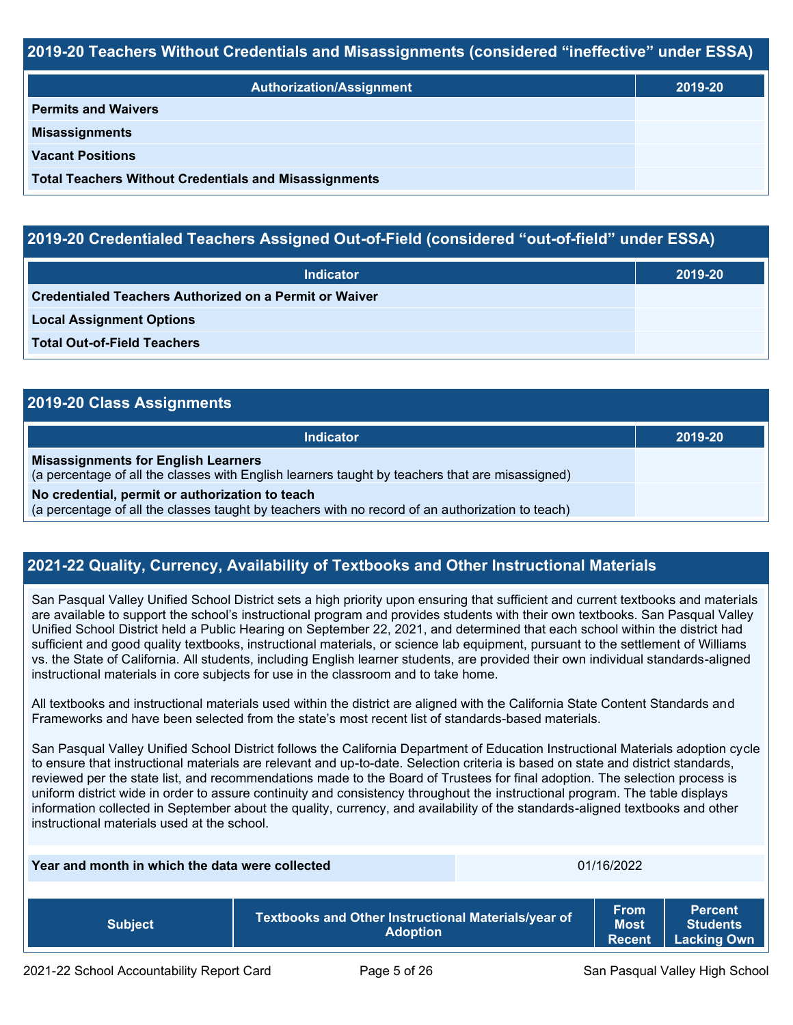#### **2019-20 Teachers Without Credentials and Misassignments (considered "ineffective" under ESSA)**

| <b>Authorization/Assignment</b>                              | 2019-20 |
|--------------------------------------------------------------|---------|
| <b>Permits and Waivers</b>                                   |         |
| <b>Misassignments</b>                                        |         |
| <b>Vacant Positions</b>                                      |         |
| <b>Total Teachers Without Credentials and Misassignments</b> |         |

#### **2019-20 Credentialed Teachers Assigned Out-of-Field (considered "out-of-field" under ESSA)**

| <b>Indicator</b>                                       | 2019-20 |
|--------------------------------------------------------|---------|
| Credentialed Teachers Authorized on a Permit or Waiver |         |
| <b>Local Assignment Options</b>                        |         |
| <b>Total Out-of-Field Teachers</b>                     |         |

| 2019-20 Class Assignments                                                                                                                           |         |  |  |  |  |
|-----------------------------------------------------------------------------------------------------------------------------------------------------|---------|--|--|--|--|
| <b>Indicator</b>                                                                                                                                    | 2019-20 |  |  |  |  |
| <b>Misassignments for English Learners</b><br>(a percentage of all the classes with English learners taught by teachers that are misassigned)       |         |  |  |  |  |
| No credential, permit or authorization to teach<br>(a percentage of all the classes taught by teachers with no record of an authorization to teach) |         |  |  |  |  |

#### **2021-22 Quality, Currency, Availability of Textbooks and Other Instructional Materials**

San Pasqual Valley Unified School District sets a high priority upon ensuring that sufficient and current textbooks and materials are available to support the school's instructional program and provides students with their own textbooks. San Pasqual Valley Unified School District held a Public Hearing on September 22, 2021, and determined that each school within the district had sufficient and good quality textbooks, instructional materials, or science lab equipment, pursuant to the settlement of Williams vs. the State of California. All students, including English learner students, are provided their own individual standards-aligned instructional materials in core subjects for use in the classroom and to take home.

All textbooks and instructional materials used within the district are aligned with the California State Content Standards and Frameworks and have been selected from the state's most recent list of standards-based materials.

San Pasqual Valley Unified School District follows the California Department of Education Instructional Materials adoption cycle to ensure that instructional materials are relevant and up-to-date. Selection criteria is based on state and district standards, reviewed per the state list, and recommendations made to the Board of Trustees for final adoption. The selection process is uniform district wide in order to assure continuity and consistency throughout the instructional program. The table displays information collected in September about the quality, currency, and availability of the standards-aligned textbooks and other instructional materials used at the school.

**Year and month in which the data were collected** 01/16/2022 **Subject Textbooks and Other Instructional Materials/year of Adoption From Most Recent Percent Students Lacking Own**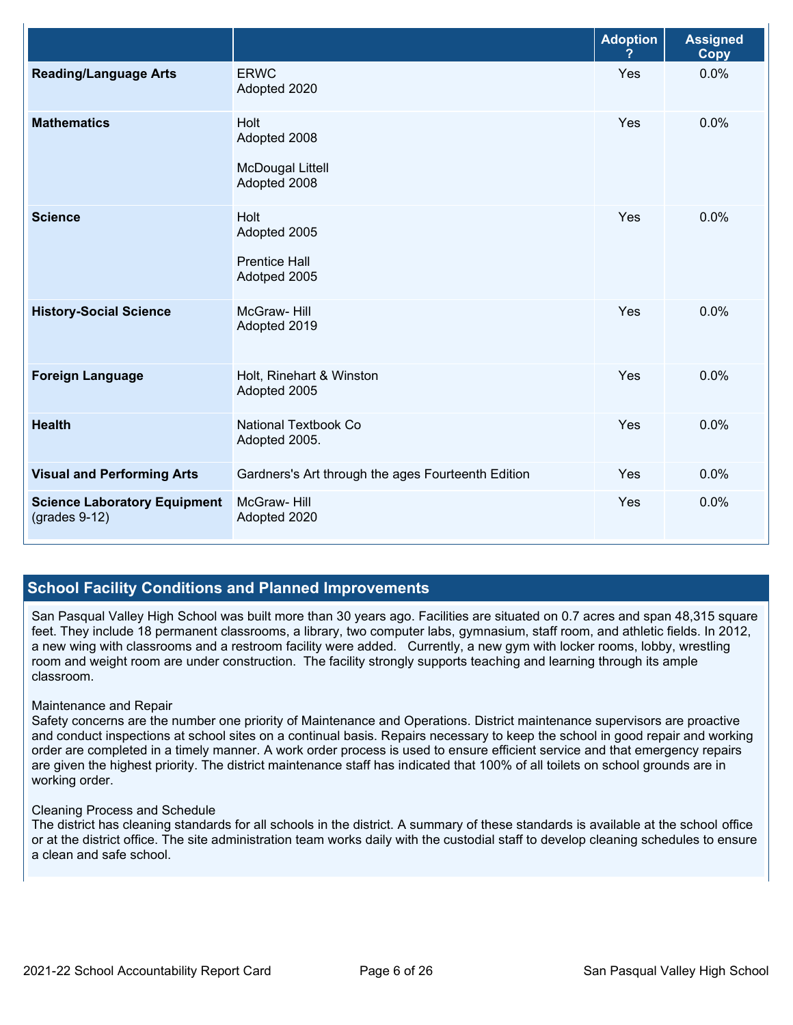|                                                        |                                                                 | <b>Adoption</b> | <b>Assigned</b><br>Copy |
|--------------------------------------------------------|-----------------------------------------------------------------|-----------------|-------------------------|
| <b>Reading/Language Arts</b>                           | <b>ERWC</b><br>Adopted 2020                                     | Yes             | 0.0%                    |
| <b>Mathematics</b>                                     | Holt<br>Adopted 2008<br><b>McDougal Littell</b><br>Adopted 2008 | Yes             | 0.0%                    |
| <b>Science</b>                                         | Holt<br>Adopted 2005<br><b>Prentice Hall</b><br>Adotped 2005    | Yes             | 0.0%                    |
| <b>History-Social Science</b>                          | McGraw-Hill<br>Adopted 2019                                     | Yes             | 0.0%                    |
| <b>Foreign Language</b>                                | Holt, Rinehart & Winston<br>Adopted 2005                        | Yes             | 0.0%                    |
| <b>Health</b>                                          | <b>National Textbook Co</b><br>Adopted 2005.                    | Yes             | 0.0%                    |
| <b>Visual and Performing Arts</b>                      | Gardners's Art through the ages Fourteenth Edition              | Yes             | 0.0%                    |
| <b>Science Laboratory Equipment</b><br>$(grades 9-12)$ | McGraw-Hill<br>Adopted 2020                                     | Yes             | 0.0%                    |

#### **School Facility Conditions and Planned Improvements**

San Pasqual Valley High School was built more than 30 years ago. Facilities are situated on 0.7 acres and span 48,315 square feet. They include 18 permanent classrooms, a library, two computer labs, gymnasium, staff room, and athletic fields. In 2012, a new wing with classrooms and a restroom facility were added. Currently, a new gym with locker rooms, lobby, wrestling room and weight room are under construction. The facility strongly supports teaching and learning through its ample classroom.

#### Maintenance and Repair

Safety concerns are the number one priority of Maintenance and Operations. District maintenance supervisors are proactive and conduct inspections at school sites on a continual basis. Repairs necessary to keep the school in good repair and working order are completed in a timely manner. A work order process is used to ensure efficient service and that emergency repairs are given the highest priority. The district maintenance staff has indicated that 100% of all toilets on school grounds are in working order.

#### Cleaning Process and Schedule

The district has cleaning standards for all schools in the district. A summary of these standards is available at the school office or at the district office. The site administration team works daily with the custodial staff to develop cleaning schedules to ensure a clean and safe school.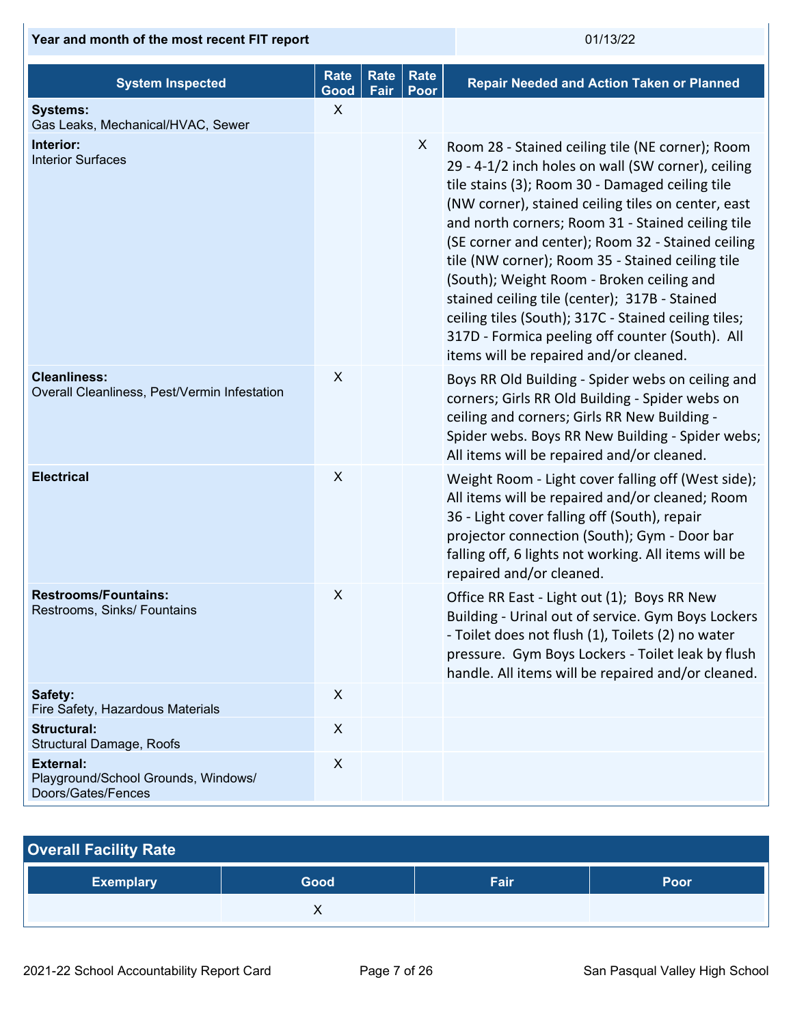| Year and month of the most recent FIT report                                  |                     |                     | 01/13/22     |                                                                                                                                                                                                                                                                                                                                                                                                                                                                                                                                                                                                                                  |  |
|-------------------------------------------------------------------------------|---------------------|---------------------|--------------|----------------------------------------------------------------------------------------------------------------------------------------------------------------------------------------------------------------------------------------------------------------------------------------------------------------------------------------------------------------------------------------------------------------------------------------------------------------------------------------------------------------------------------------------------------------------------------------------------------------------------------|--|
| <b>System Inspected</b>                                                       | <b>Rate</b><br>Good | <b>Rate</b><br>Fair | Rate<br>Poor | <b>Repair Needed and Action Taken or Planned</b>                                                                                                                                                                                                                                                                                                                                                                                                                                                                                                                                                                                 |  |
| <b>Systems:</b><br>Gas Leaks, Mechanical/HVAC, Sewer                          | X                   |                     |              |                                                                                                                                                                                                                                                                                                                                                                                                                                                                                                                                                                                                                                  |  |
| Interior:<br><b>Interior Surfaces</b>                                         |                     |                     | X            | Room 28 - Stained ceiling tile (NE corner); Room<br>29 - 4-1/2 inch holes on wall (SW corner), ceiling<br>tile stains (3); Room 30 - Damaged ceiling tile<br>(NW corner), stained ceiling tiles on center, east<br>and north corners; Room 31 - Stained ceiling tile<br>(SE corner and center); Room 32 - Stained ceiling<br>tile (NW corner); Room 35 - Stained ceiling tile<br>(South); Weight Room - Broken ceiling and<br>stained ceiling tile (center); 317B - Stained<br>ceiling tiles (South); 317C - Stained ceiling tiles;<br>317D - Formica peeling off counter (South). All<br>items will be repaired and/or cleaned. |  |
| <b>Cleanliness:</b><br>Overall Cleanliness, Pest/Vermin Infestation           | X                   |                     |              | Boys RR Old Building - Spider webs on ceiling and<br>corners; Girls RR Old Building - Spider webs on<br>ceiling and corners; Girls RR New Building -<br>Spider webs. Boys RR New Building - Spider webs;<br>All items will be repaired and/or cleaned.                                                                                                                                                                                                                                                                                                                                                                           |  |
| <b>Electrical</b>                                                             | $\boldsymbol{X}$    |                     |              | Weight Room - Light cover falling off (West side);<br>All items will be repaired and/or cleaned; Room<br>36 - Light cover falling off (South), repair<br>projector connection (South); Gym - Door bar<br>falling off, 6 lights not working. All items will be<br>repaired and/or cleaned.                                                                                                                                                                                                                                                                                                                                        |  |
| <b>Restrooms/Fountains:</b><br>Restrooms, Sinks/ Fountains                    | X                   |                     |              | Office RR East - Light out (1); Boys RR New<br>Building - Urinal out of service. Gym Boys Lockers<br>- Toilet does not flush (1), Toilets (2) no water<br>pressure. Gym Boys Lockers - Toilet leak by flush<br>handle. All items will be repaired and/or cleaned.                                                                                                                                                                                                                                                                                                                                                                |  |
| Safety:<br>Fire Safety, Hazardous Materials                                   | $\boldsymbol{X}$    |                     |              |                                                                                                                                                                                                                                                                                                                                                                                                                                                                                                                                                                                                                                  |  |
| <b>Structural:</b><br>Structural Damage, Roofs                                | $\boldsymbol{X}$    |                     |              |                                                                                                                                                                                                                                                                                                                                                                                                                                                                                                                                                                                                                                  |  |
| <b>External:</b><br>Playground/School Grounds, Windows/<br>Doors/Gates/Fences | $\pmb{\times}$      |                     |              |                                                                                                                                                                                                                                                                                                                                                                                                                                                                                                                                                                                                                                  |  |

| <b>Overall Facility Rate</b> |      |      |      |
|------------------------------|------|------|------|
| <b>Exemplary</b>             | Good | Fair | Poor |
|                              |      |      |      |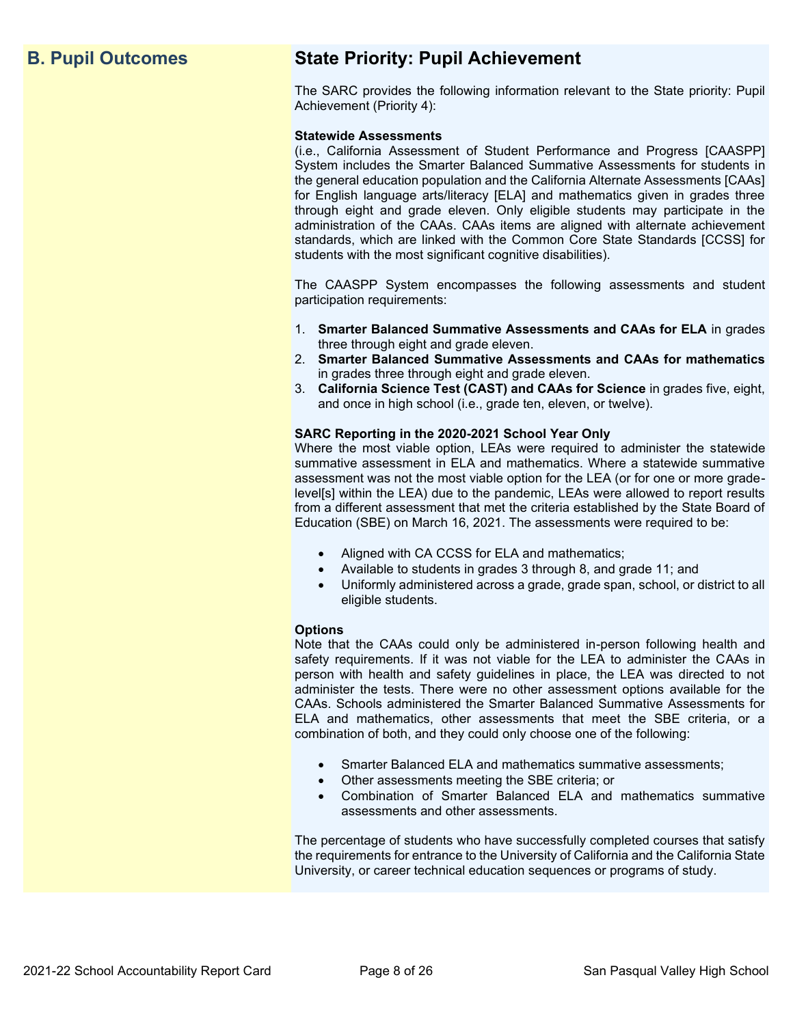# **B. Pupil Outcomes State Priority: Pupil Achievement**

The SARC provides the following information relevant to the State priority: Pupil Achievement (Priority 4):

#### **Statewide Assessments**

(i.e., California Assessment of Student Performance and Progress [CAASPP] System includes the Smarter Balanced Summative Assessments for students in the general education population and the California Alternate Assessments [CAAs] for English language arts/literacy [ELA] and mathematics given in grades three through eight and grade eleven. Only eligible students may participate in the administration of the CAAs. CAAs items are aligned with alternate achievement standards, which are linked with the Common Core State Standards [CCSS] for students with the most significant cognitive disabilities).

The CAASPP System encompasses the following assessments and student participation requirements:

- 1. **Smarter Balanced Summative Assessments and CAAs for ELA** in grades three through eight and grade eleven.
- 2. **Smarter Balanced Summative Assessments and CAAs for mathematics** in grades three through eight and grade eleven.
- 3. **California Science Test (CAST) and CAAs for Science** in grades five, eight, and once in high school (i.e., grade ten, eleven, or twelve).

#### **SARC Reporting in the 2020-2021 School Year Only**

Where the most viable option, LEAs were required to administer the statewide summative assessment in ELA and mathematics. Where a statewide summative assessment was not the most viable option for the LEA (or for one or more gradelevel[s] within the LEA) due to the pandemic, LEAs were allowed to report results from a different assessment that met the criteria established by the State Board of Education (SBE) on March 16, 2021. The assessments were required to be:

- Aligned with CA CCSS for ELA and mathematics;
- Available to students in grades 3 through 8, and grade 11; and
- Uniformly administered across a grade, grade span, school, or district to all eligible students.

#### **Options**

Note that the CAAs could only be administered in-person following health and safety requirements. If it was not viable for the LEA to administer the CAAs in person with health and safety guidelines in place, the LEA was directed to not administer the tests. There were no other assessment options available for the CAAs. Schools administered the Smarter Balanced Summative Assessments for ELA and mathematics, other assessments that meet the SBE criteria, or a combination of both, and they could only choose one of the following:

- Smarter Balanced ELA and mathematics summative assessments;
- Other assessments meeting the SBE criteria; or
- Combination of Smarter Balanced ELA and mathematics summative assessments and other assessments.

The percentage of students who have successfully completed courses that satisfy the requirements for entrance to the University of California and the California State University, or career technical education sequences or programs of study.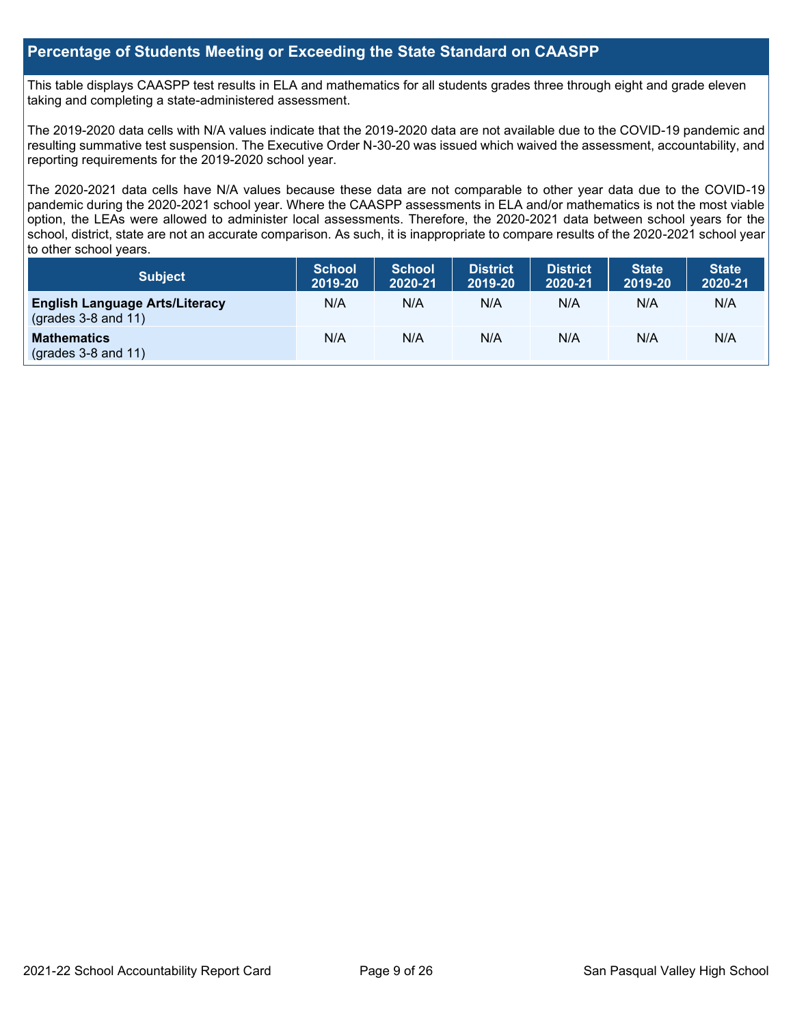#### **Percentage of Students Meeting or Exceeding the State Standard on CAASPP**

This table displays CAASPP test results in ELA and mathematics for all students grades three through eight and grade eleven taking and completing a state-administered assessment.

The 2019-2020 data cells with N/A values indicate that the 2019-2020 data are not available due to the COVID-19 pandemic and resulting summative test suspension. The Executive Order N-30-20 was issued which waived the assessment, accountability, and reporting requirements for the 2019-2020 school year.

The 2020-2021 data cells have N/A values because these data are not comparable to other year data due to the COVID-19 pandemic during the 2020-2021 school year. Where the CAASPP assessments in ELA and/or mathematics is not the most viable option, the LEAs were allowed to administer local assessments. Therefore, the 2020-2021 data between school years for the school, district, state are not an accurate comparison. As such, it is inappropriate to compare results of the 2020-2021 school year to other school years.

| Subject                                                              | <b>School</b><br>2019-20 | <b>School</b><br>2020-21 | <b>District</b><br>2019-20 | <b>District</b><br>2020-21 | <b>State</b><br>2019-20 | <b>State</b><br>2020-21 |
|----------------------------------------------------------------------|--------------------------|--------------------------|----------------------------|----------------------------|-------------------------|-------------------------|
| <b>English Language Arts/Literacy</b><br>$\left($ grades 3-8 and 11) | N/A                      | N/A                      | N/A                        | N/A                        | N/A                     | N/A                     |
| <b>Mathematics</b><br>$(grades 3-8 and 11)$                          | N/A                      | N/A                      | N/A                        | N/A                        | N/A                     | N/A                     |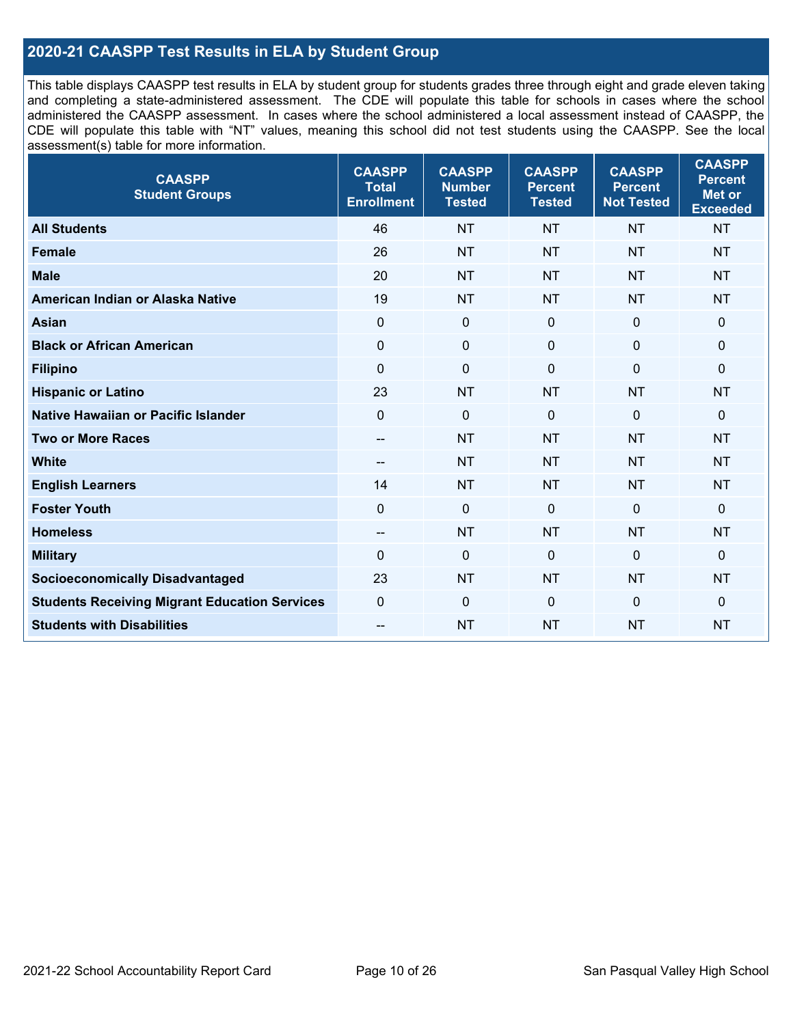### **2020-21 CAASPP Test Results in ELA by Student Group**

This table displays CAASPP test results in ELA by student group for students grades three through eight and grade eleven taking and completing a state-administered assessment. The CDE will populate this table for schools in cases where the school administered the CAASPP assessment. In cases where the school administered a local assessment instead of CAASPP, the CDE will populate this table with "NT" values, meaning this school did not test students using the CAASPP. See the local assessment(s) table for more information.

| <b>CAASPP</b><br><b>Student Groups</b>               | <b>CAASPP</b><br><b>Total</b><br><b>Enrollment</b> | <b>CAASPP</b><br><b>Number</b><br><b>Tested</b> | <b>CAASPP</b><br><b>Percent</b><br><b>Tested</b> | <b>CAASPP</b><br><b>Percent</b><br><b>Not Tested</b> | <b>CAASPP</b><br><b>Percent</b><br><b>Met or</b><br><b>Exceeded</b> |
|------------------------------------------------------|----------------------------------------------------|-------------------------------------------------|--------------------------------------------------|------------------------------------------------------|---------------------------------------------------------------------|
| <b>All Students</b>                                  | 46                                                 | <b>NT</b>                                       | <b>NT</b>                                        | <b>NT</b>                                            | <b>NT</b>                                                           |
| <b>Female</b>                                        | 26                                                 | <b>NT</b>                                       | <b>NT</b>                                        | <b>NT</b>                                            | <b>NT</b>                                                           |
| <b>Male</b>                                          | 20                                                 | <b>NT</b>                                       | <b>NT</b>                                        | <b>NT</b>                                            | <b>NT</b>                                                           |
| American Indian or Alaska Native                     | 19                                                 | <b>NT</b>                                       | <b>NT</b>                                        | <b>NT</b>                                            | <b>NT</b>                                                           |
| <b>Asian</b>                                         | $\mathbf 0$                                        | $\pmb{0}$                                       | $\mathbf 0$                                      | $\mathbf{0}$                                         | $\mathbf 0$                                                         |
| <b>Black or African American</b>                     | 0                                                  | $\mathbf 0$                                     | $\Omega$                                         | $\Omega$                                             | $\mathbf 0$                                                         |
| <b>Filipino</b>                                      | $\mathbf 0$                                        | $\mathbf 0$                                     | $\Omega$                                         | $\mathbf 0$                                          | 0                                                                   |
| <b>Hispanic or Latino</b>                            | 23                                                 | <b>NT</b>                                       | <b>NT</b>                                        | <b>NT</b>                                            | <b>NT</b>                                                           |
| <b>Native Hawaiian or Pacific Islander</b>           | $\mathbf 0$                                        | $\mathbf 0$                                     | $\mathbf 0$                                      | $\overline{0}$                                       | $\mathbf 0$                                                         |
| <b>Two or More Races</b>                             | $\overline{a}$                                     | <b>NT</b>                                       | <b>NT</b>                                        | <b>NT</b>                                            | <b>NT</b>                                                           |
| <b>White</b>                                         | $\overline{\phantom{a}}$                           | <b>NT</b>                                       | <b>NT</b>                                        | <b>NT</b>                                            | <b>NT</b>                                                           |
| <b>English Learners</b>                              | 14                                                 | <b>NT</b>                                       | <b>NT</b>                                        | <b>NT</b>                                            | <b>NT</b>                                                           |
| <b>Foster Youth</b>                                  | 0                                                  | $\mathbf 0$                                     | $\Omega$                                         | $\mathbf{0}$                                         | $\mathbf 0$                                                         |
| <b>Homeless</b>                                      | --                                                 | <b>NT</b>                                       | <b>NT</b>                                        | <b>NT</b>                                            | <b>NT</b>                                                           |
| <b>Military</b>                                      | 0                                                  | $\pmb{0}$                                       | $\Omega$                                         | $\mathbf 0$                                          | 0                                                                   |
| <b>Socioeconomically Disadvantaged</b>               | 23                                                 | <b>NT</b>                                       | <b>NT</b>                                        | <b>NT</b>                                            | <b>NT</b>                                                           |
| <b>Students Receiving Migrant Education Services</b> | $\mathbf 0$                                        | $\mathbf 0$                                     | $\Omega$                                         | $\mathbf 0$                                          | 0                                                                   |
| <b>Students with Disabilities</b>                    | $\overline{\phantom{a}}$                           | <b>NT</b>                                       | <b>NT</b>                                        | <b>NT</b>                                            | <b>NT</b>                                                           |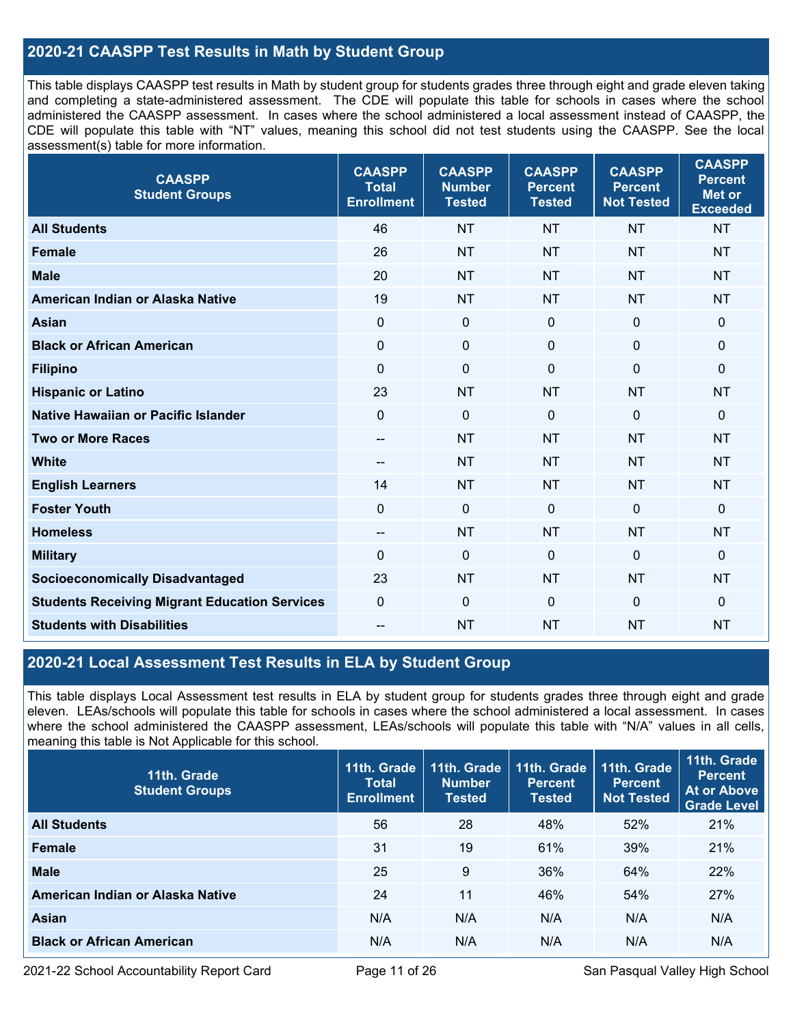### **2020-21 CAASPP Test Results in Math by Student Group**

This table displays CAASPP test results in Math by student group for students grades three through eight and grade eleven taking and completing a state-administered assessment. The CDE will populate this table for schools in cases where the school administered the CAASPP assessment. In cases where the school administered a local assessment instead of CAASPP, the CDE will populate this table with "NT" values, meaning this school did not test students using the CAASPP. See the local assessment(s) table for more information.

| <b>CAASPP</b><br><b>Student Groups</b>               | <b>CAASPP</b><br><b>Total</b><br><b>Enrollment</b> | <b>CAASPP</b><br><b>Number</b><br><b>Tested</b> | <b>CAASPP</b><br><b>Percent</b><br><b>Tested</b> | <b>CAASPP</b><br><b>Percent</b><br><b>Not Tested</b> | <b>CAASPP</b><br><b>Percent</b><br><b>Met or</b><br><b>Exceeded</b> |
|------------------------------------------------------|----------------------------------------------------|-------------------------------------------------|--------------------------------------------------|------------------------------------------------------|---------------------------------------------------------------------|
| <b>All Students</b>                                  | 46                                                 | <b>NT</b>                                       | <b>NT</b>                                        | <b>NT</b>                                            | <b>NT</b>                                                           |
| <b>Female</b>                                        | 26                                                 | <b>NT</b>                                       | <b>NT</b>                                        | <b>NT</b>                                            | <b>NT</b>                                                           |
| <b>Male</b>                                          | 20                                                 | <b>NT</b>                                       | <b>NT</b>                                        | <b>NT</b>                                            | <b>NT</b>                                                           |
| American Indian or Alaska Native                     | 19                                                 | <b>NT</b>                                       | <b>NT</b>                                        | <b>NT</b>                                            | <b>NT</b>                                                           |
| <b>Asian</b>                                         | $\mathbf 0$                                        | $\pmb{0}$                                       | $\mathbf 0$                                      | $\mathbf 0$                                          | $\pmb{0}$                                                           |
| <b>Black or African American</b>                     | $\mathbf 0$                                        | 0                                               | $\mathbf 0$                                      | 0                                                    | $\mathbf 0$                                                         |
| <b>Filipino</b>                                      | $\mathbf 0$                                        | $\mathbf 0$                                     | $\mathbf 0$                                      | $\Omega$                                             | $\mathbf{0}$                                                        |
| <b>Hispanic or Latino</b>                            | 23                                                 | <b>NT</b>                                       | <b>NT</b>                                        | <b>NT</b>                                            | <b>NT</b>                                                           |
| Native Hawaiian or Pacific Islander                  | $\mathbf 0$                                        | $\mathbf 0$                                     | $\mathbf 0$                                      | $\Omega$                                             | $\mathbf 0$                                                         |
| <b>Two or More Races</b>                             | $\overline{\phantom{a}}$                           | <b>NT</b>                                       | <b>NT</b>                                        | <b>NT</b>                                            | <b>NT</b>                                                           |
| <b>White</b>                                         | $\overline{a}$                                     | <b>NT</b>                                       | <b>NT</b>                                        | <b>NT</b>                                            | <b>NT</b>                                                           |
| <b>English Learners</b>                              | 14                                                 | <b>NT</b>                                       | <b>NT</b>                                        | <b>NT</b>                                            | <b>NT</b>                                                           |
| <b>Foster Youth</b>                                  | $\overline{0}$                                     | $\mathbf 0$                                     | $\mathbf{0}$                                     | $\mathbf 0$                                          | $\Omega$                                                            |
| <b>Homeless</b>                                      | --                                                 | <b>NT</b>                                       | <b>NT</b>                                        | <b>NT</b>                                            | <b>NT</b>                                                           |
| <b>Military</b>                                      | $\Omega$                                           | $\mathbf 0$                                     | $\mathbf{0}$                                     | $\mathbf 0$                                          | 0                                                                   |
| <b>Socioeconomically Disadvantaged</b>               | 23                                                 | <b>NT</b>                                       | <b>NT</b>                                        | <b>NT</b>                                            | <b>NT</b>                                                           |
| <b>Students Receiving Migrant Education Services</b> | $\mathbf 0$                                        | 0                                               | $\mathbf 0$                                      | 0                                                    | 0                                                                   |
| <b>Students with Disabilities</b>                    | --                                                 | <b>NT</b>                                       | <b>NT</b>                                        | <b>NT</b>                                            | <b>NT</b>                                                           |

## **2020-21 Local Assessment Test Results in ELA by Student Group**

This table displays Local Assessment test results in ELA by student group for students grades three through eight and grade eleven. LEAs/schools will populate this table for schools in cases where the school administered a local assessment. In cases where the school administered the CAASPP assessment, LEAs/schools will populate this table with "N/A" values in all cells, meaning this table is Not Applicable for this school.

| 11th. Grade<br><b>Student Groups</b> | 11th. Grade<br><b>Total</b><br><b>Enrollment</b> | 11th. Grade<br><b>Number</b><br><b>Tested</b> | 11th. Grade<br><b>Percent</b><br><b>Tested</b> | 11th. Grade<br><b>Percent</b><br>Not Tested | 11th. Grade<br><b>Percent</b><br>At or Above<br><b>Grade Level</b> |
|--------------------------------------|--------------------------------------------------|-----------------------------------------------|------------------------------------------------|---------------------------------------------|--------------------------------------------------------------------|
| <b>All Students</b>                  | 56                                               | 28                                            | 48%                                            | 52%                                         | 21%                                                                |
| <b>Female</b>                        | 31                                               | 19                                            | 61%                                            | 39%                                         | 21%                                                                |
| <b>Male</b>                          | 25                                               | 9                                             | 36%                                            | 64%                                         | 22%                                                                |
| American Indian or Alaska Native     | 24                                               | 11                                            | 46%                                            | 54%                                         | 27%                                                                |
| Asian                                | N/A                                              | N/A                                           | N/A                                            | N/A                                         | N/A                                                                |
| <b>Black or African American</b>     | N/A                                              | N/A                                           | N/A                                            | N/A                                         | N/A                                                                |

2021-22 School Accountability Report Card **Page 11 of 26** San Pasqual Valley High School Page 11 of 26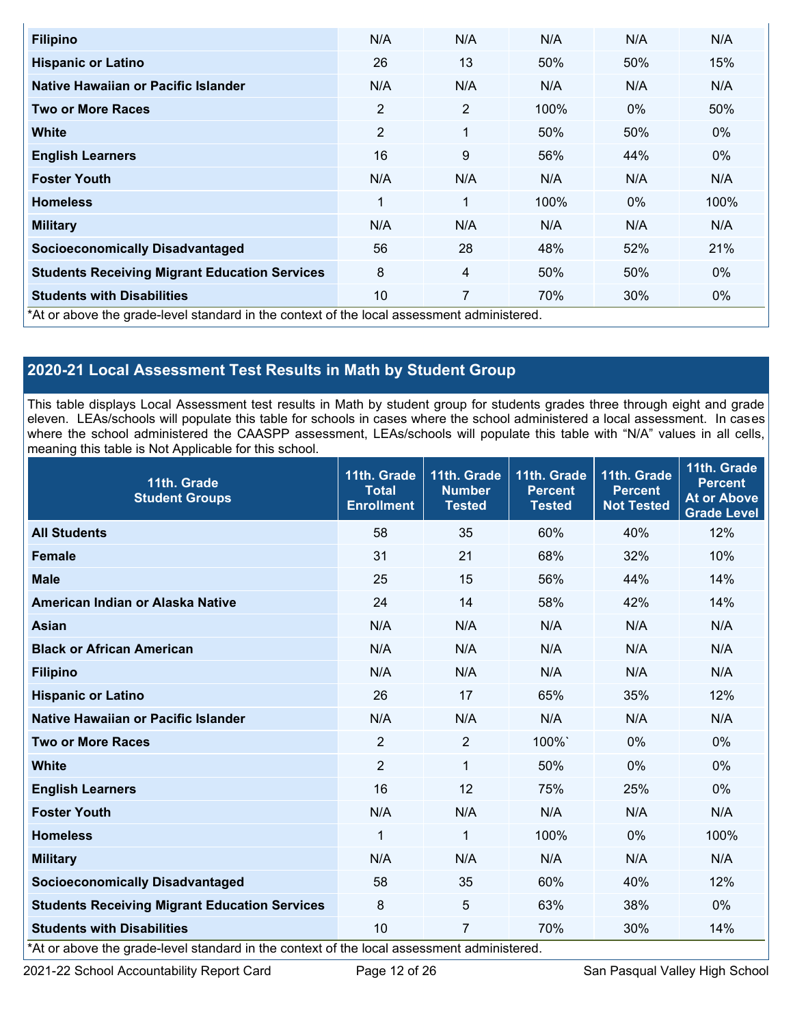| <b>Filipino</b>                                                                            | N/A            | N/A            | N/A  | N/A   | N/A   |
|--------------------------------------------------------------------------------------------|----------------|----------------|------|-------|-------|
| <b>Hispanic or Latino</b>                                                                  | 26             | 13             | 50%  | 50%   | 15%   |
| Native Hawaiian or Pacific Islander                                                        | N/A            | N/A            | N/A  | N/A   | N/A   |
| <b>Two or More Races</b>                                                                   | $\overline{2}$ | $\overline{2}$ | 100% | $0\%$ | 50%   |
| <b>White</b>                                                                               | $\overline{2}$ | 1              | 50%  | 50%   | $0\%$ |
| <b>English Learners</b>                                                                    | 16             | 9              | 56%  | 44%   | 0%    |
| <b>Foster Youth</b>                                                                        | N/A            | N/A            | N/A  | N/A   | N/A   |
| <b>Homeless</b>                                                                            | 1              | 1              | 100% | $0\%$ | 100%  |
| <b>Military</b>                                                                            | N/A            | N/A            | N/A  | N/A   | N/A   |
| <b>Socioeconomically Disadvantaged</b>                                                     | 56             | 28             | 48%  | 52%   | 21%   |
| <b>Students Receiving Migrant Education Services</b>                                       | 8              | 4              | 50%  | 50%   | 0%    |
| <b>Students with Disabilities</b>                                                          | 10             | 7              | 70%  | 30%   | 0%    |
| *At or above the grade-level standard in the context of the local assessment administered. |                |                |      |       |       |

# **2020-21 Local Assessment Test Results in Math by Student Group**

This table displays Local Assessment test results in Math by student group for students grades three through eight and grade eleven. LEAs/schools will populate this table for schools in cases where the school administered a local assessment. In cases where the school administered the CAASPP assessment, LEAs/schools will populate this table with "N/A" values in all cells, meaning this table is Not Applicable for this school.

| 11th. Grade<br><b>Student Groups</b>                                                                                                        | 11th. Grade<br><b>Total</b><br><b>Enrollment</b> | 11th. Grade<br><b>Number</b><br><b>Tested</b> | 11th. Grade<br><b>Percent</b><br><b>Tested</b> | 11th. Grade<br><b>Percent</b><br><b>Not Tested</b> | 11th. Grade<br><b>Percent</b><br><b>At or Above</b><br><b>Grade Level</b> |
|---------------------------------------------------------------------------------------------------------------------------------------------|--------------------------------------------------|-----------------------------------------------|------------------------------------------------|----------------------------------------------------|---------------------------------------------------------------------------|
| <b>All Students</b>                                                                                                                         | 58                                               | 35                                            | 60%                                            | 40%                                                | 12%                                                                       |
| <b>Female</b>                                                                                                                               | 31                                               | 21                                            | 68%                                            | 32%                                                | 10%                                                                       |
| <b>Male</b>                                                                                                                                 | 25                                               | 15                                            | 56%                                            | 44%                                                | 14%                                                                       |
| American Indian or Alaska Native                                                                                                            | 24                                               | 14                                            | 58%                                            | 42%                                                | 14%                                                                       |
| <b>Asian</b>                                                                                                                                | N/A                                              | N/A                                           | N/A                                            | N/A                                                | N/A                                                                       |
| <b>Black or African American</b>                                                                                                            | N/A                                              | N/A                                           | N/A                                            | N/A                                                | N/A                                                                       |
| <b>Filipino</b>                                                                                                                             | N/A                                              | N/A                                           | N/A                                            | N/A                                                | N/A                                                                       |
| <b>Hispanic or Latino</b>                                                                                                                   | 26                                               | 17                                            | 65%                                            | 35%                                                | 12%                                                                       |
| Native Hawaiian or Pacific Islander                                                                                                         | N/A                                              | N/A                                           | N/A                                            | N/A                                                | N/A                                                                       |
| <b>Two or More Races</b>                                                                                                                    | 2                                                | 2                                             | 100%`                                          | 0%                                                 | $0\%$                                                                     |
| <b>White</b>                                                                                                                                | $\overline{2}$                                   | $\mathbf{1}$                                  | 50%                                            | 0%                                                 | 0%                                                                        |
| <b>English Learners</b>                                                                                                                     | 16                                               | 12                                            | 75%                                            | 25%                                                | $0\%$                                                                     |
| <b>Foster Youth</b>                                                                                                                         | N/A                                              | N/A                                           | N/A                                            | N/A                                                | N/A                                                                       |
| <b>Homeless</b>                                                                                                                             | 1                                                | 1                                             | 100%                                           | 0%                                                 | 100%                                                                      |
| <b>Military</b>                                                                                                                             | N/A                                              | N/A                                           | N/A                                            | N/A                                                | N/A                                                                       |
| <b>Socioeconomically Disadvantaged</b>                                                                                                      | 58                                               | 35                                            | 60%                                            | 40%                                                | 12%                                                                       |
| <b>Students Receiving Migrant Education Services</b>                                                                                        | 8                                                | 5                                             | 63%                                            | 38%                                                | 0%                                                                        |
| <b>Students with Disabilities</b><br>$*$ <sup>1</sup> ar aboug the arade lovel standard in the context of the legal accessment administered | 10                                               | $\overline{7}$                                | 70%                                            | 30%                                                | 14%                                                                       |

\*At or above the grade-level standard in the context of the local assessment administered.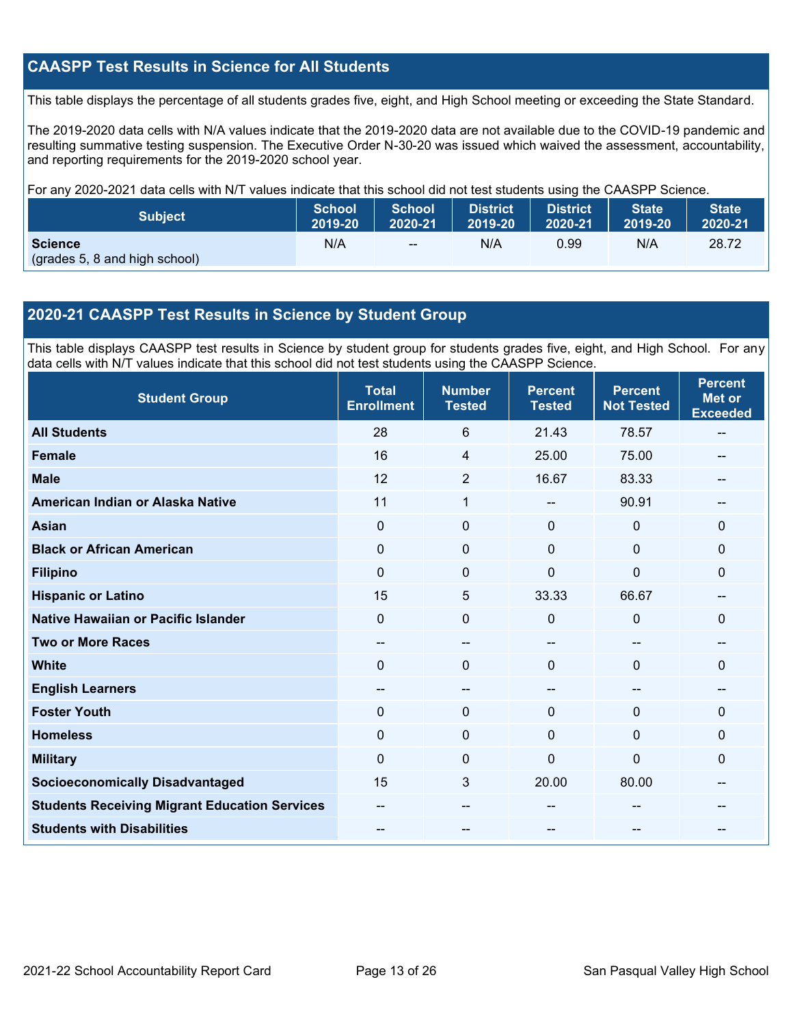#### **CAASPP Test Results in Science for All Students**

This table displays the percentage of all students grades five, eight, and High School meeting or exceeding the State Standard.

The 2019-2020 data cells with N/A values indicate that the 2019-2020 data are not available due to the COVID-19 pandemic and resulting summative testing suspension. The Executive Order N-30-20 was issued which waived the assessment, accountability, and reporting requirements for the 2019-2020 school year.

For any 2020-2021 data cells with N/T values indicate that this school did not test students using the CAASPP Science.

| <b>Subject</b>                                  | <b>School</b> | <b>School</b> | <b>District</b> | <b>District</b> | <b>State</b> | <b>State</b> |
|-------------------------------------------------|---------------|---------------|-----------------|-----------------|--------------|--------------|
|                                                 | 2019-20       | 2020-21       | 12019-20        | 2020-21         | 2019-20      | 2020-21      |
| <b>Science</b><br>(grades 5, 8 and high school) | N/A           | $-$           | N/A             | 0.99            | N/A          | 28.72        |

# **2020-21 CAASPP Test Results in Science by Student Group**

This table displays CAASPP test results in Science by student group for students grades five, eight, and High School. For any data cells with N/T values indicate that this school did not test students using the CAASPP Science.

| <b>Student Group</b>                                 | <b>Total</b><br><b>Enrollment</b> | <b>Number</b><br><b>Tested</b> | <b>Percent</b><br><b>Tested</b> | <b>Percent</b><br><b>Not Tested</b> | <b>Percent</b><br><b>Met or</b><br><b>Exceeded</b> |
|------------------------------------------------------|-----------------------------------|--------------------------------|---------------------------------|-------------------------------------|----------------------------------------------------|
| <b>All Students</b>                                  | 28                                | 6                              | 21.43                           | 78.57                               | --                                                 |
| <b>Female</b>                                        | 16                                | $\overline{4}$                 | 25.00                           | 75.00                               |                                                    |
| <b>Male</b>                                          | 12                                | $\overline{2}$                 | 16.67                           | 83.33                               |                                                    |
| American Indian or Alaska Native                     | 11                                | 1                              | $\sim$                          | 90.91                               | --                                                 |
| <b>Asian</b>                                         | 0                                 | $\mathbf 0$                    | $\mathbf 0$                     | $\mathbf 0$                         | $\mathbf 0$                                        |
| <b>Black or African American</b>                     | 0                                 | $\mathbf 0$                    | $\mathbf 0$                     | $\mathbf 0$                         | $\mathbf 0$                                        |
| <b>Filipino</b>                                      | 0                                 | $\Omega$                       | $\mathbf 0$                     | $\mathbf 0$                         | $\mathbf 0$                                        |
| <b>Hispanic or Latino</b>                            | 15                                | 5                              | 33.33                           | 66.67                               | --                                                 |
| <b>Native Hawaiian or Pacific Islander</b>           | $\Omega$                          | 0                              | 0                               | $\Omega$                            | $\mathbf{0}$                                       |
| <b>Two or More Races</b>                             | $-$                               | $- -$                          | $\sim$ $\sim$                   | --                                  | --                                                 |
| <b>White</b>                                         | $\Omega$                          | $\mathbf 0$                    | $\mathbf 0$                     | $\mathbf{0}$                        | $\mathbf{0}$                                       |
| <b>English Learners</b>                              | --                                | --                             | --                              | --                                  |                                                    |
| <b>Foster Youth</b>                                  | 0                                 | $\mathbf 0$                    | $\mathbf{0}$                    | $\Omega$                            | $\mathbf{0}$                                       |
| <b>Homeless</b>                                      | 0                                 | $\mathbf 0$                    | $\mathbf 0$                     | $\Omega$                            | $\mathbf 0$                                        |
| <b>Military</b>                                      | 0                                 | $\mathbf 0$                    | $\mathbf 0$                     | $\overline{0}$                      | $\mathbf 0$                                        |
| <b>Socioeconomically Disadvantaged</b>               | 15                                | 3                              | 20.00                           | 80.00                               |                                                    |
| <b>Students Receiving Migrant Education Services</b> | --                                | --                             |                                 | --                                  |                                                    |
| <b>Students with Disabilities</b>                    | --                                | --                             |                                 |                                     |                                                    |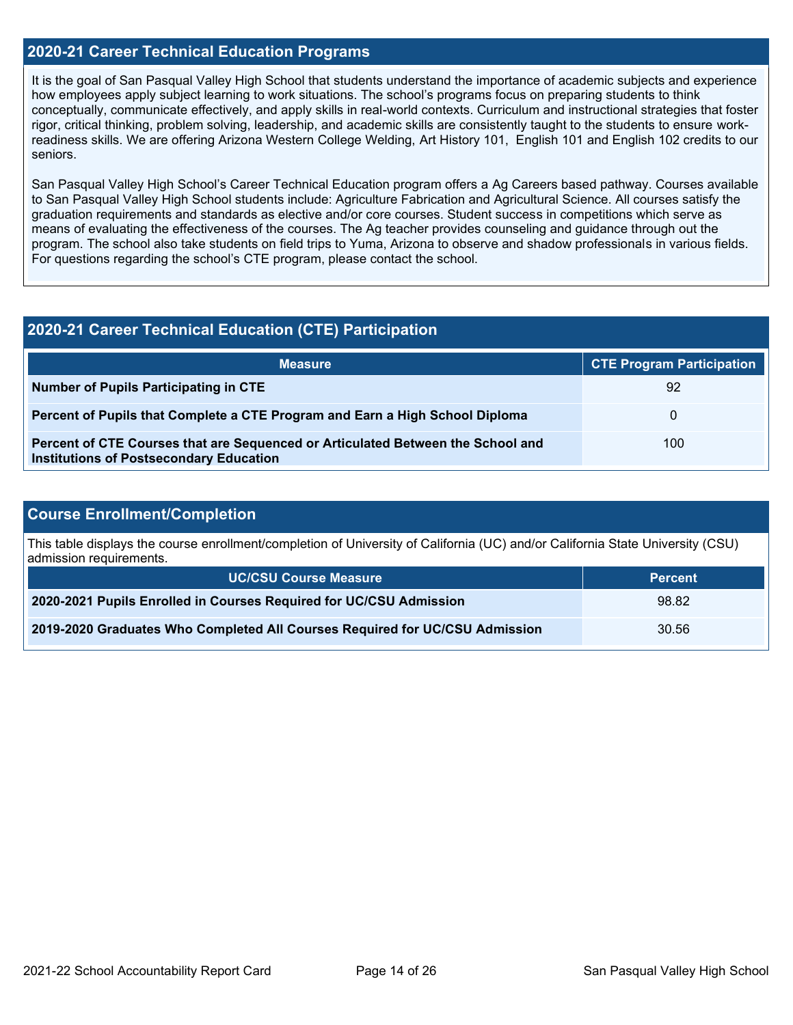#### **2020-21 Career Technical Education Programs**

It is the goal of San Pasqual Valley High School that students understand the importance of academic subjects and experience how employees apply subject learning to work situations. The school's programs focus on preparing students to think conceptually, communicate effectively, and apply skills in real-world contexts. Curriculum and instructional strategies that foster rigor, critical thinking, problem solving, leadership, and academic skills are consistently taught to the students to ensure workreadiness skills. We are offering Arizona Western College Welding, Art History 101, English 101 and English 102 credits to our seniors.

San Pasqual Valley High School's Career Technical Education program offers a Ag Careers based pathway. Courses available to San Pasqual Valley High School students include: Agriculture Fabrication and Agricultural Science. All courses satisfy the graduation requirements and standards as elective and/or core courses. Student success in competitions which serve as means of evaluating the effectiveness of the courses. The Ag teacher provides counseling and guidance through out the program. The school also take students on field trips to Yuma, Arizona to observe and shadow professionals in various fields. For questions regarding the school's CTE program, please contact the school.

#### **2020-21 Career Technical Education (CTE) Participation**

| <b>Measure</b>                                                                                                                    | <b>CTE Program Participation</b> |
|-----------------------------------------------------------------------------------------------------------------------------------|----------------------------------|
| Number of Pupils Participating in CTE                                                                                             | 92                               |
| Percent of Pupils that Complete a CTE Program and Earn a High School Diploma                                                      | 0                                |
| Percent of CTE Courses that are Sequenced or Articulated Between the School and<br><b>Institutions of Postsecondary Education</b> | 100                              |

#### **Course Enrollment/Completion**

This table displays the course enrollment/completion of University of California (UC) and/or California State University (CSU) admission requirements.

| <b>UC/CSU Course Measure</b>                                                | <b>Percent</b> |
|-----------------------------------------------------------------------------|----------------|
| 2020-2021 Pupils Enrolled in Courses Required for UC/CSU Admission          | 98.82          |
| 2019-2020 Graduates Who Completed All Courses Required for UC/CSU Admission | 30.56          |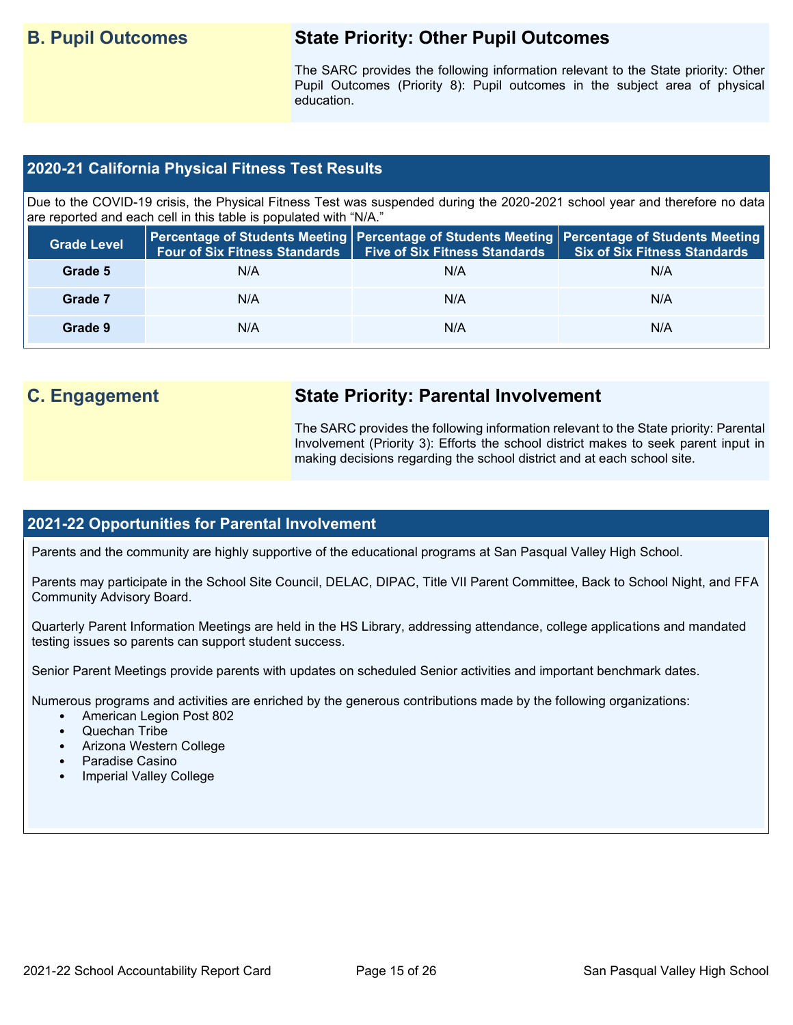# **B. Pupil Outcomes State Priority: Other Pupil Outcomes**

The SARC provides the following information relevant to the State priority: Other Pupil Outcomes (Priority 8): Pupil outcomes in the subject area of physical education.

#### **2020-21 California Physical Fitness Test Results**

Due to the COVID-19 crisis, the Physical Fitness Test was suspended during the 2020-2021 school year and therefore no data are reported and each cell in this table is populated with "N/A."

| <b>Grade Level</b> | <b>Four of Six Fitness Standards</b> | <b>Five of Six Fitness Standards</b> | Percentage of Students Meeting   Percentage of Students Meeting   Percentage of Students Meeting  <br><b>Six of Six Fitness Standards</b> |
|--------------------|--------------------------------------|--------------------------------------|-------------------------------------------------------------------------------------------------------------------------------------------|
| Grade 5            | N/A                                  | N/A                                  | N/A                                                                                                                                       |
| Grade 7            | N/A                                  | N/A                                  | N/A                                                                                                                                       |
| Grade 9            | N/A                                  | N/A                                  | N/A                                                                                                                                       |

# **C. Engagement State Priority: Parental Involvement**

The SARC provides the following information relevant to the State priority: Parental Involvement (Priority 3): Efforts the school district makes to seek parent input in making decisions regarding the school district and at each school site.

#### **2021-22 Opportunities for Parental Involvement**

Parents and the community are highly supportive of the educational programs at San Pasqual Valley High School.

Parents may participate in the School Site Council, DELAC, DIPAC, Title VII Parent Committee, Back to School Night, and FFA Community Advisory Board.

Quarterly Parent Information Meetings are held in the HS Library, addressing attendance, college applications and mandated testing issues so parents can support student success.

Senior Parent Meetings provide parents with updates on scheduled Senior activities and important benchmark dates.

Numerous programs and activities are enriched by the generous contributions made by the following organizations:

- American Legion Post 802
- Quechan Tribe
- Arizona Western College
- Paradise Casino
- Imperial Valley College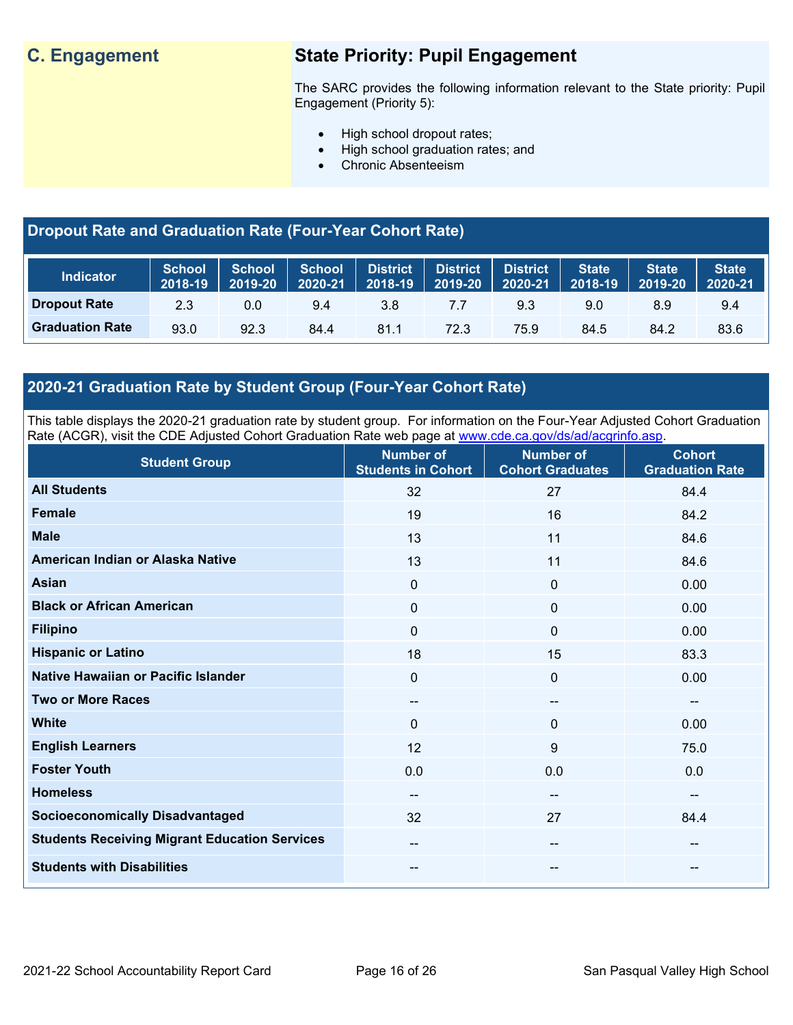# **C. Engagement State Priority: Pupil Engagement**

The SARC provides the following information relevant to the State priority: Pupil Engagement (Priority 5):

- High school dropout rates;
- High school graduation rates; and
- Chronic Absenteeism

# **Dropout Rate and Graduation Rate (Four-Year Cohort Rate)**

| <b>Indicator</b>       | School<br>2018-19 | <b>School</b><br>2019-20 | <b>School</b><br>2020-21 | <b>District</b><br>2018-19 | <b>District</b><br>2019-20 | <b>District</b><br>2020-21 | <b>State</b><br>$2018 - 19$ | <b>State</b><br>2019-20 | <b>State</b><br>2020-21 |
|------------------------|-------------------|--------------------------|--------------------------|----------------------------|----------------------------|----------------------------|-----------------------------|-------------------------|-------------------------|
| <b>Dropout Rate</b>    | 2.3               | 0.0                      | 9.4                      | 3.8                        | 7.7                        | 9.3                        | 9.0                         | 8.9                     | 9.4                     |
| <b>Graduation Rate</b> | 93.0              | 92.3                     | 84.4                     | 81.1                       | 72.3                       | 75.9                       | 84.5                        | 84.2                    | 83.6                    |

# **2020-21 Graduation Rate by Student Group (Four-Year Cohort Rate)**

This table displays the 2020-21 graduation rate by student group. For information on the Four-Year Adjusted Cohort Graduation Rate (ACGR), visit the CDE Adjusted Cohort Graduation Rate web page at [www.cde.ca.gov/ds/ad/acgrinfo.asp.](http://www.cde.ca.gov/ds/ad/acgrinfo.asp)

| <b>Student Group</b>                                 | <b>Number of</b><br><b>Students in Cohort</b> | <b>Number of</b><br><b>Cohort Graduates</b> | <b>Cohort</b><br><b>Graduation Rate</b> |
|------------------------------------------------------|-----------------------------------------------|---------------------------------------------|-----------------------------------------|
| <b>All Students</b>                                  | 32                                            | 27                                          | 84.4                                    |
| <b>Female</b>                                        | 19                                            | 16                                          | 84.2                                    |
| <b>Male</b>                                          | 13                                            | 11                                          | 84.6                                    |
| American Indian or Alaska Native                     | 13                                            | 11                                          | 84.6                                    |
| <b>Asian</b>                                         | $\mathbf 0$                                   | $\mathbf 0$                                 | 0.00                                    |
| <b>Black or African American</b>                     | 0                                             | $\mathbf 0$                                 | 0.00                                    |
| <b>Filipino</b>                                      | $\Omega$                                      | $\mathbf{0}$                                | 0.00                                    |
| <b>Hispanic or Latino</b>                            | 18                                            | 15                                          | 83.3                                    |
| Native Hawaiian or Pacific Islander                  | 0                                             | $\mathbf 0$                                 | 0.00                                    |
| <b>Two or More Races</b>                             | $\overline{\phantom{a}}$                      | --                                          | $\overline{\phantom{a}}$                |
| <b>White</b>                                         | $\Omega$                                      | $\mathbf{0}$                                | 0.00                                    |
| <b>English Learners</b>                              | 12                                            | 9                                           | 75.0                                    |
| <b>Foster Youth</b>                                  | 0.0                                           | 0.0                                         | 0.0                                     |
| <b>Homeless</b>                                      | $\qquad \qquad -$                             | --                                          | $\sim$                                  |
| <b>Socioeconomically Disadvantaged</b>               | 32                                            | 27                                          | 84.4                                    |
| <b>Students Receiving Migrant Education Services</b> | --                                            | --                                          | --                                      |
| <b>Students with Disabilities</b>                    | --                                            | --                                          | --                                      |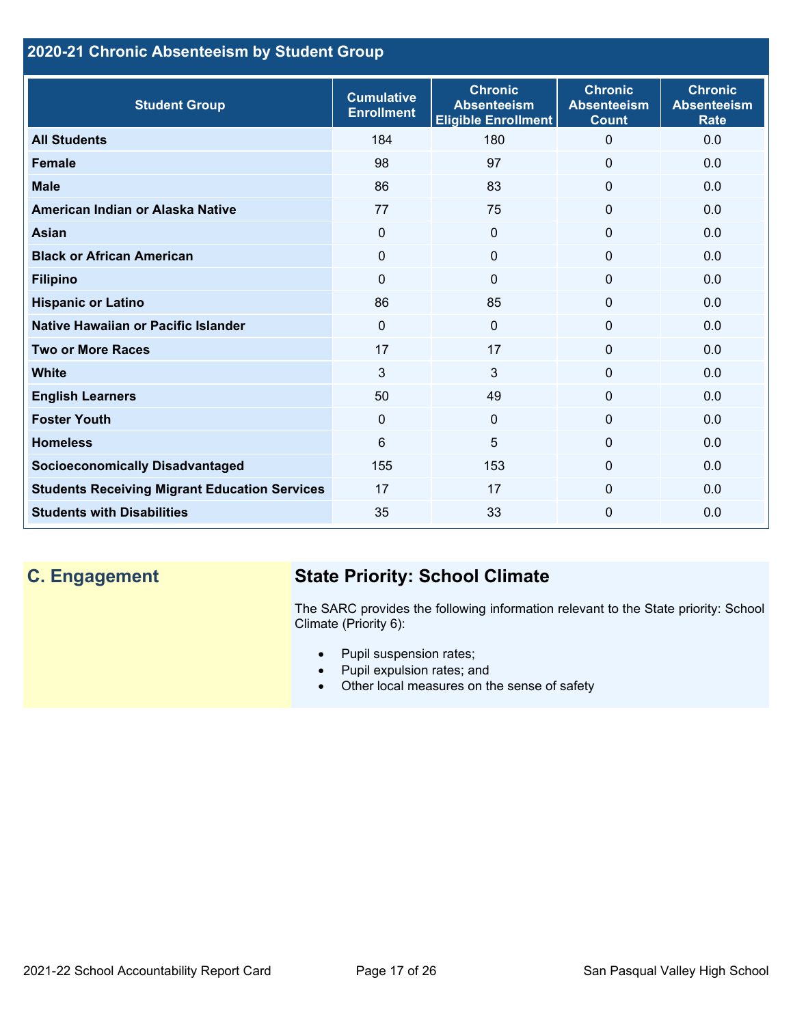# **2020-21 Chronic Absenteeism by Student Group**

| <b>Student Group</b>                                 | <b>Cumulative</b><br><b>Enrollment</b> | <b>Chronic</b><br><b>Absenteeism</b><br><b>Eligible Enrollment</b> | <b>Chronic</b><br><b>Absenteeism</b><br><b>Count</b> | <b>Chronic</b><br><b>Absenteeism</b><br><b>Rate</b> |
|------------------------------------------------------|----------------------------------------|--------------------------------------------------------------------|------------------------------------------------------|-----------------------------------------------------|
| <b>All Students</b>                                  | 184                                    | 180                                                                | $\mathbf{0}$                                         | 0.0                                                 |
| <b>Female</b>                                        | 98                                     | 97                                                                 | $\Omega$                                             | 0.0                                                 |
| <b>Male</b>                                          | 86                                     | 83                                                                 | $\mathbf{0}$                                         | 0.0                                                 |
| American Indian or Alaska Native                     | 77                                     | 75                                                                 | $\mathbf 0$                                          | 0.0                                                 |
| Asian                                                | $\mathbf{0}$                           | $\overline{0}$                                                     | $\mathbf{0}$                                         | 0.0                                                 |
| <b>Black or African American</b>                     | $\mathbf 0$                            | $\mathbf{0}$                                                       | $\mathbf 0$                                          | 0.0                                                 |
| <b>Filipino</b>                                      | $\mathbf{0}$                           | $\Omega$                                                           | $\mathbf 0$                                          | 0.0                                                 |
| <b>Hispanic or Latino</b>                            | 86                                     | 85                                                                 | 0                                                    | 0.0                                                 |
| Native Hawaiian or Pacific Islander                  | $\mathbf{0}$                           | $\mathbf{0}$                                                       | $\mathbf 0$                                          | 0.0                                                 |
| <b>Two or More Races</b>                             | 17                                     | 17                                                                 | $\mathbf 0$                                          | 0.0                                                 |
| <b>White</b>                                         | 3                                      | 3                                                                  | $\Omega$                                             | 0.0                                                 |
| <b>English Learners</b>                              | 50                                     | 49                                                                 | $\Omega$                                             | 0.0                                                 |
| <b>Foster Youth</b>                                  | $\mathbf{0}$                           | $\Omega$                                                           | $\Omega$                                             | 0.0                                                 |
| <b>Homeless</b>                                      | 6                                      | 5                                                                  | $\Omega$                                             | 0.0                                                 |
| <b>Socioeconomically Disadvantaged</b>               | 155                                    | 153                                                                | $\mathbf{0}$                                         | 0.0                                                 |
| <b>Students Receiving Migrant Education Services</b> | 17                                     | 17                                                                 | $\Omega$                                             | 0.0                                                 |
| <b>Students with Disabilities</b>                    | 35                                     | 33                                                                 | $\mathbf{0}$                                         | 0.0                                                 |

# **C. Engagement State Priority: School Climate**

The SARC provides the following information relevant to the State priority: School Climate (Priority 6):

- Pupil suspension rates;
- Pupil expulsion rates; and
- Other local measures on the sense of safety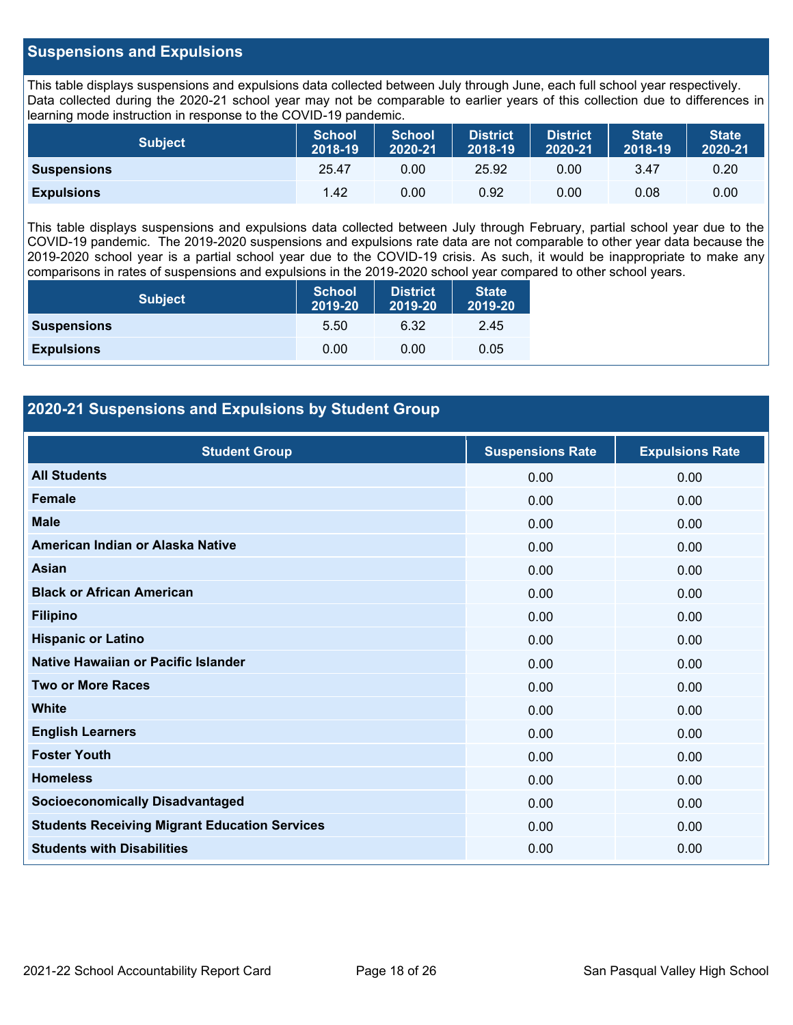#### **Suspensions and Expulsions**

This table displays suspensions and expulsions data collected between July through June, each full school year respectively. Data collected during the 2020-21 school year may not be comparable to earlier years of this collection due to differences in learning mode instruction in response to the COVID-19 pandemic.

| <b>Subject</b>     | <b>School</b><br>2018-19 | <b>School</b><br>2020-21 | <b>District</b><br>2018-19 | <b>District</b><br>2020-21 | <b>State</b><br>2018-19 | <b>State</b><br>2020-21 |
|--------------------|--------------------------|--------------------------|----------------------------|----------------------------|-------------------------|-------------------------|
| <b>Suspensions</b> | 25.47                    | 0.00                     | 25.92                      | 0.00                       | 3.47                    | 0.20                    |
| <b>Expulsions</b>  | 1.42                     | 0.00                     | 0.92                       | 0.00                       | 0.08                    | 0.00                    |

This table displays suspensions and expulsions data collected between July through February, partial school year due to the COVID-19 pandemic. The 2019-2020 suspensions and expulsions rate data are not comparable to other year data because the 2019-2020 school year is a partial school year due to the COVID-19 crisis. As such, it would be inappropriate to make any comparisons in rates of suspensions and expulsions in the 2019-2020 school year compared to other school years.

| <b>Subject</b>     | <b>School</b><br>2019-20 | <b>District</b><br>2019-20 | <b>State</b><br>2019-20 |
|--------------------|--------------------------|----------------------------|-------------------------|
| <b>Suspensions</b> | 5.50                     | 6.32                       | 2.45                    |
| <b>Expulsions</b>  | 0.00                     | 0.00                       | 0.05                    |

#### **2020-21 Suspensions and Expulsions by Student Group**

| <b>Student Group</b>                                 | <b>Suspensions Rate</b> | <b>Expulsions Rate</b> |
|------------------------------------------------------|-------------------------|------------------------|
| <b>All Students</b>                                  | 0.00                    | 0.00                   |
| <b>Female</b>                                        | 0.00                    | 0.00                   |
| <b>Male</b>                                          | 0.00                    | 0.00                   |
| American Indian or Alaska Native                     | 0.00                    | 0.00                   |
| <b>Asian</b>                                         | 0.00                    | 0.00                   |
| <b>Black or African American</b>                     | 0.00                    | 0.00                   |
| <b>Filipino</b>                                      | 0.00                    | 0.00                   |
| <b>Hispanic or Latino</b>                            | 0.00                    | 0.00                   |
| Native Hawaiian or Pacific Islander                  | 0.00                    | 0.00                   |
| <b>Two or More Races</b>                             | 0.00                    | 0.00                   |
| <b>White</b>                                         | 0.00                    | 0.00                   |
| <b>English Learners</b>                              | 0.00                    | 0.00                   |
| <b>Foster Youth</b>                                  | 0.00                    | 0.00                   |
| <b>Homeless</b>                                      | 0.00                    | 0.00                   |
| <b>Socioeconomically Disadvantaged</b>               | 0.00                    | 0.00                   |
| <b>Students Receiving Migrant Education Services</b> | 0.00                    | 0.00                   |
| <b>Students with Disabilities</b>                    | 0.00                    | 0.00                   |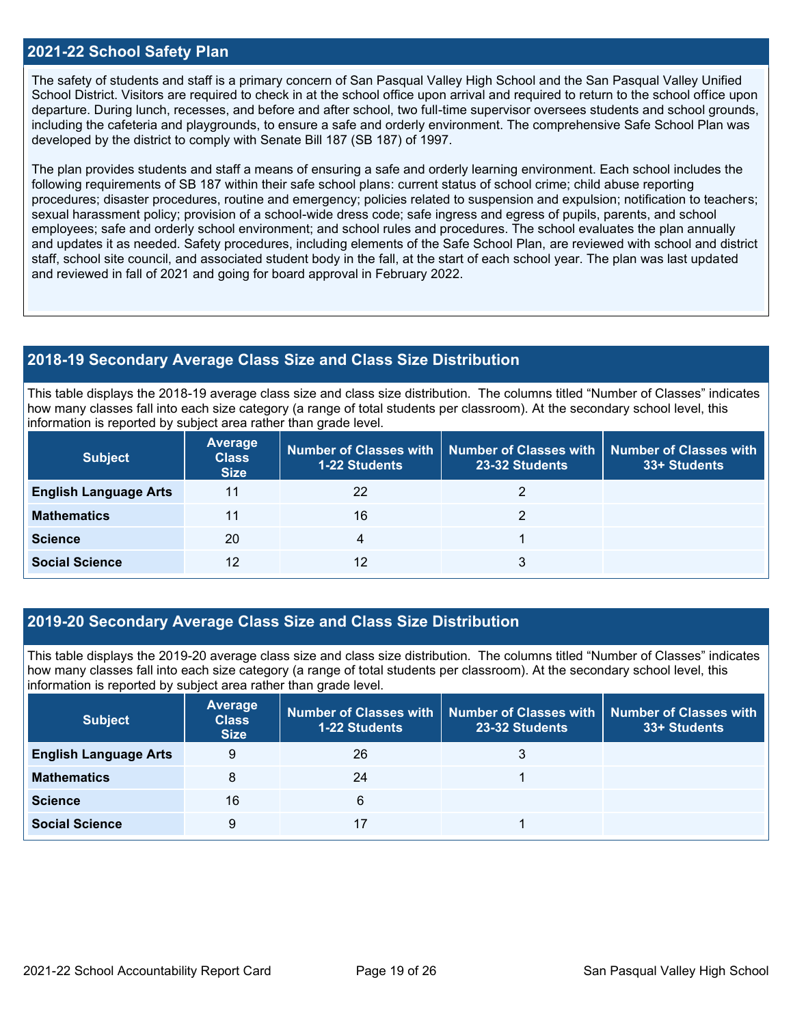#### **2021-22 School Safety Plan**

The safety of students and staff is a primary concern of San Pasqual Valley High School and the San Pasqual Valley Unified School District. Visitors are required to check in at the school office upon arrival and required to return to the school office upon departure. During lunch, recesses, and before and after school, two full-time supervisor oversees students and school grounds, including the cafeteria and playgrounds, to ensure a safe and orderly environment. The comprehensive Safe School Plan was developed by the district to comply with Senate Bill 187 (SB 187) of 1997.

The plan provides students and staff a means of ensuring a safe and orderly learning environment. Each school includes the following requirements of SB 187 within their safe school plans: current status of school crime; child abuse reporting procedures; disaster procedures, routine and emergency; policies related to suspension and expulsion; notification to teachers; sexual harassment policy; provision of a school-wide dress code; safe ingress and egress of pupils, parents, and school employees; safe and orderly school environment; and school rules and procedures. The school evaluates the plan annually and updates it as needed. Safety procedures, including elements of the Safe School Plan, are reviewed with school and district staff, school site council, and associated student body in the fall, at the start of each school year. The plan was last updated and reviewed in fall of 2021 and going for board approval in February 2022.

#### **2018-19 Secondary Average Class Size and Class Size Distribution**

This table displays the 2018-19 average class size and class size distribution. The columns titled "Number of Classes" indicates how many classes fall into each size category (a range of total students per classroom). At the secondary school level, this information is reported by subject area rather than grade level.

| <b>Subject</b>               | <b>Average</b><br><b>Class</b><br><b>Size</b> | <b>1-22 Students</b> | Number of Classes with   Number of Classes with<br>23-32 Students | Number of Classes with<br>33+ Students |
|------------------------------|-----------------------------------------------|----------------------|-------------------------------------------------------------------|----------------------------------------|
| <b>English Language Arts</b> | 11                                            | 22                   |                                                                   |                                        |
| <b>Mathematics</b>           | 11                                            | 16                   |                                                                   |                                        |
| <b>Science</b>               | 20                                            | 4                    |                                                                   |                                        |
| <b>Social Science</b>        | 12                                            | 12                   | 3                                                                 |                                        |

#### **2019-20 Secondary Average Class Size and Class Size Distribution**

This table displays the 2019-20 average class size and class size distribution. The columns titled "Number of Classes" indicates how many classes fall into each size category (a range of total students per classroom). At the secondary school level, this information is reported by subject area rather than grade level.

| <b>Subject</b>               | Average<br><b>Class</b><br><b>Size</b> | <b>1-22 Students</b> | Number of Classes with   Number of Classes with   Number of Classes with<br>23-32 Students | 33+ Students |
|------------------------------|----------------------------------------|----------------------|--------------------------------------------------------------------------------------------|--------------|
| <b>English Language Arts</b> | 9                                      | 26                   | 3                                                                                          |              |
| <b>Mathematics</b>           | 8                                      | 24                   |                                                                                            |              |
| <b>Science</b>               | 16                                     | 6                    |                                                                                            |              |
| <b>Social Science</b>        | 9                                      |                      |                                                                                            |              |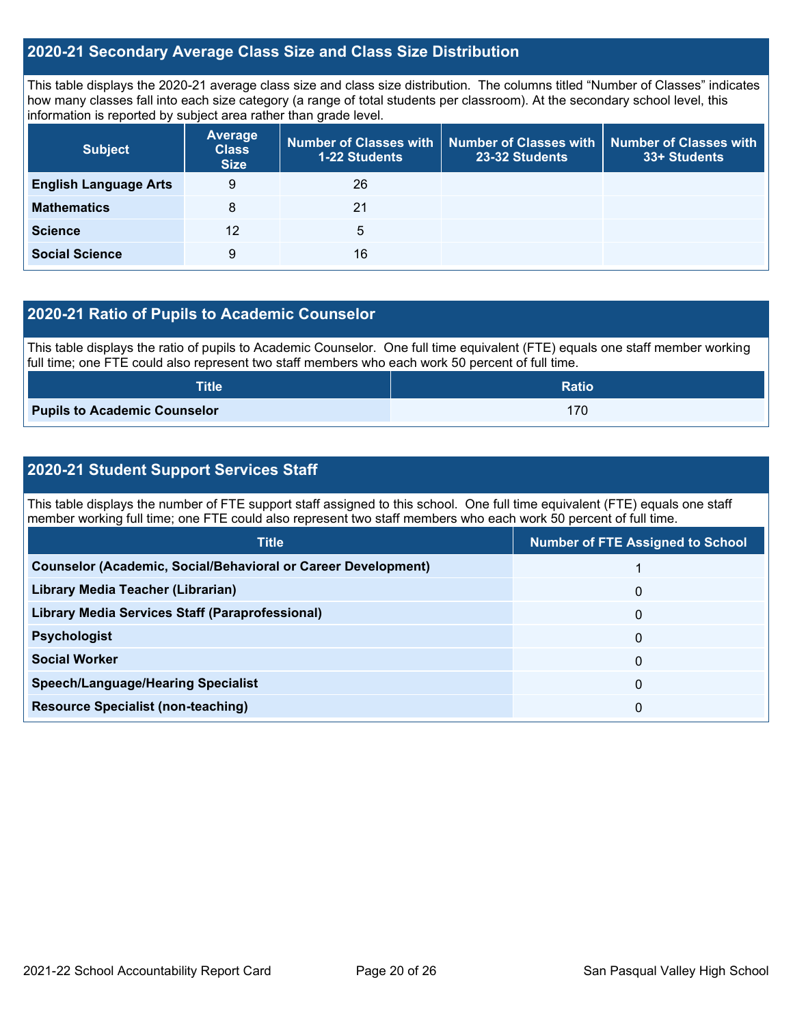#### **2020-21 Secondary Average Class Size and Class Size Distribution**

This table displays the 2020-21 average class size and class size distribution. The columns titled "Number of Classes" indicates how many classes fall into each size category (a range of total students per classroom). At the secondary school level, this information is reported by subject area rather than grade level.

| <b>Subject</b>               | <b>Average</b><br><b>Class</b><br><b>Size</b> | Number of Classes with<br>1-22 Students | <b>Number of Classes with</b><br>23-32 Students | <b>Number of Classes with</b><br>33+ Students |
|------------------------------|-----------------------------------------------|-----------------------------------------|-------------------------------------------------|-----------------------------------------------|
| <b>English Language Arts</b> | 9                                             | 26                                      |                                                 |                                               |
| <b>Mathematics</b>           | 8                                             | 21                                      |                                                 |                                               |
| <b>Science</b>               | 12                                            | 5                                       |                                                 |                                               |
| <b>Social Science</b>        | 9                                             | 16                                      |                                                 |                                               |

#### **2020-21 Ratio of Pupils to Academic Counselor**

This table displays the ratio of pupils to Academic Counselor. One full time equivalent (FTE) equals one staff member working full time; one FTE could also represent two staff members who each work 50 percent of full time.

| <b>Title</b>                        | <b>Ratio</b> |
|-------------------------------------|--------------|
| <b>Pupils to Academic Counselor</b> | 170          |

### **2020-21 Student Support Services Staff**

This table displays the number of FTE support staff assigned to this school. One full time equivalent (FTE) equals one staff member working full time; one FTE could also represent two staff members who each work 50 percent of full time.

| <b>Title</b>                                                         | <b>Number of FTE Assigned to School</b> |
|----------------------------------------------------------------------|-----------------------------------------|
| <b>Counselor (Academic, Social/Behavioral or Career Development)</b> |                                         |
| Library Media Teacher (Librarian)                                    | $\mathbf{0}$                            |
| <b>Library Media Services Staff (Paraprofessional)</b>               | 0                                       |
| <b>Psychologist</b>                                                  | 0                                       |
| <b>Social Worker</b>                                                 | $\mathbf{0}$                            |
| <b>Speech/Language/Hearing Specialist</b>                            | 0                                       |
| <b>Resource Specialist (non-teaching)</b>                            | 0                                       |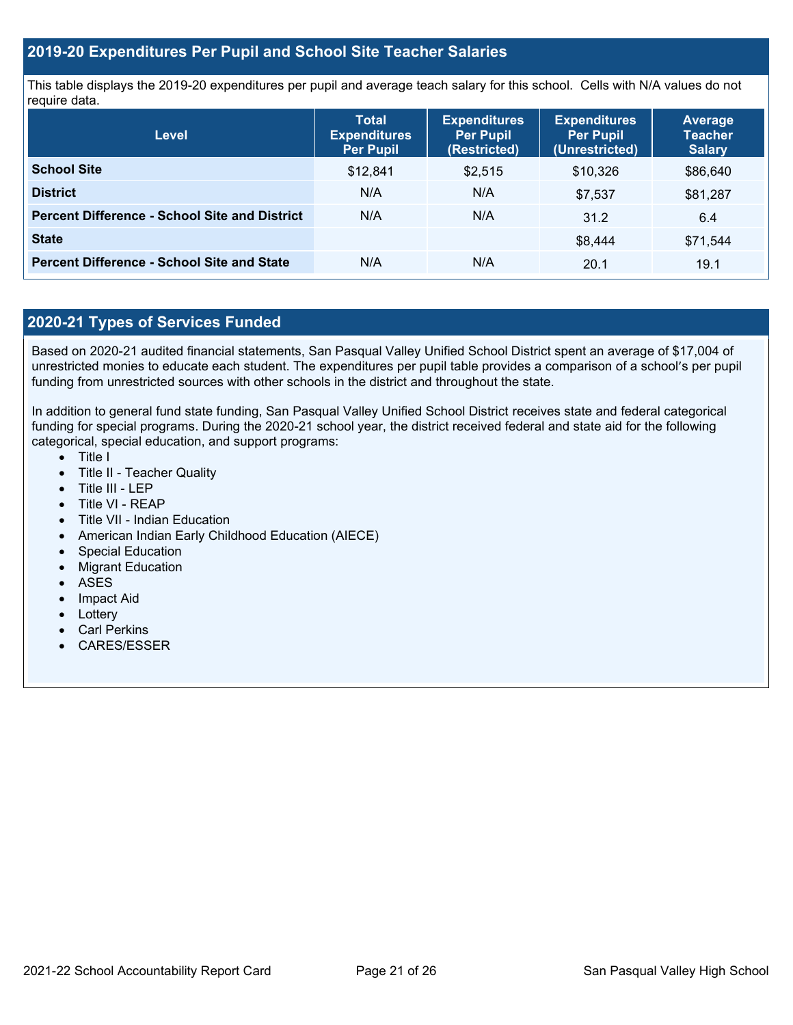#### **2019-20 Expenditures Per Pupil and School Site Teacher Salaries**

This table displays the 2019-20 expenditures per pupil and average teach salary for this school. Cells with N/A values do not require data.

| <b>Level</b>                                         | <b>Total</b><br><b>Expenditures</b><br><b>Per Pupil</b> | <b>Expenditures</b><br><b>Per Pupil</b><br>(Restricted) | <b>Expenditures</b><br><b>Per Pupil</b><br>(Unrestricted) | <b>Average</b><br><b>Teacher</b><br><b>Salary</b> |
|------------------------------------------------------|---------------------------------------------------------|---------------------------------------------------------|-----------------------------------------------------------|---------------------------------------------------|
| <b>School Site</b>                                   | \$12,841                                                | \$2,515                                                 | \$10,326                                                  | \$86,640                                          |
| <b>District</b>                                      | N/A                                                     | N/A                                                     | \$7,537                                                   | \$81,287                                          |
| <b>Percent Difference - School Site and District</b> | N/A                                                     | N/A                                                     | 31.2                                                      | 6.4                                               |
| <b>State</b>                                         |                                                         |                                                         | \$8,444                                                   | \$71,544                                          |
| <b>Percent Difference - School Site and State</b>    | N/A                                                     | N/A                                                     | 20.1                                                      | 19.1                                              |

## **2020-21 Types of Services Funded**

Based on 2020-21 audited financial statements, San Pasqual Valley Unified School District spent an average of \$17,004 of unrestricted monies to educate each student. The expenditures per pupil table provides a comparison of a school's per pupil funding from unrestricted sources with other schools in the district and throughout the state.

In addition to general fund state funding, San Pasqual Valley Unified School District receives state and federal categorical funding for special programs. During the 2020-21 school year, the district received federal and state aid for the following categorical, special education, and support programs:

- Title I
- Title II Teacher Quality
- Title III LEP
- Title VI REAP
- Title VII Indian Education
- American Indian Early Childhood Education (AIECE)
- Special Education
- Migrant Education
- ASES
- Impact Aid
- Lottery
- Carl Perkins
- CARES/ESSER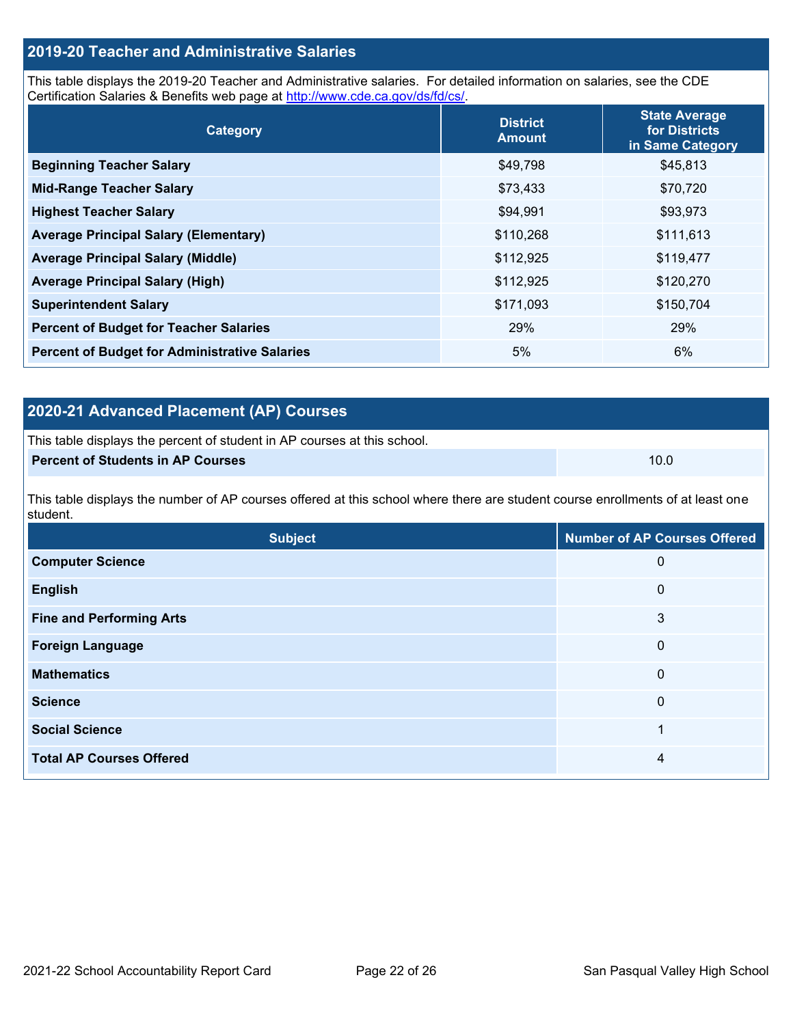# **2019-20 Teacher and Administrative Salaries**

This table displays the 2019-20 Teacher and Administrative salaries. For detailed information on salaries, see the CDE Certification Salaries & Benefits web page at [http://www.cde.ca.gov/ds/fd/cs/.](http://www.cde.ca.gov/ds/fd/cs/)

| Category                                             | <b>District</b><br><b>Amount</b> | <b>State Average</b><br>for Districts<br>in Same Category |
|------------------------------------------------------|----------------------------------|-----------------------------------------------------------|
| <b>Beginning Teacher Salary</b>                      | \$49,798                         | \$45,813                                                  |
| <b>Mid-Range Teacher Salary</b>                      | \$73,433                         | \$70,720                                                  |
| <b>Highest Teacher Salary</b>                        | \$94,991                         | \$93,973                                                  |
| <b>Average Principal Salary (Elementary)</b>         | \$110,268                        | \$111,613                                                 |
| <b>Average Principal Salary (Middle)</b>             | \$112,925                        | \$119,477                                                 |
| <b>Average Principal Salary (High)</b>               | \$112,925                        | \$120,270                                                 |
| <b>Superintendent Salary</b>                         | \$171,093                        | \$150,704                                                 |
| <b>Percent of Budget for Teacher Salaries</b>        | 29%                              | 29%                                                       |
| <b>Percent of Budget for Administrative Salaries</b> | 5%                               | 6%                                                        |

# **2020-21 Advanced Placement (AP) Courses**

| This table displays the percent of student in AP courses at this school. |      |
|--------------------------------------------------------------------------|------|
| <b>Percent of Students in AP Courses</b>                                 | 10.0 |

This table displays the number of AP courses offered at this school where there are student course enrollments of at least one student.

| <b>Subject</b>                  | <b>Number of AP Courses Offered</b> |
|---------------------------------|-------------------------------------|
| <b>Computer Science</b>         | 0                                   |
| <b>English</b>                  | $\mathbf 0$                         |
| <b>Fine and Performing Arts</b> | 3                                   |
| <b>Foreign Language</b>         | 0                                   |
| <b>Mathematics</b>              | $\mathbf{0}$                        |
| <b>Science</b>                  | $\mathbf 0$                         |
| <b>Social Science</b>           | 4                                   |
| <b>Total AP Courses Offered</b> | 4                                   |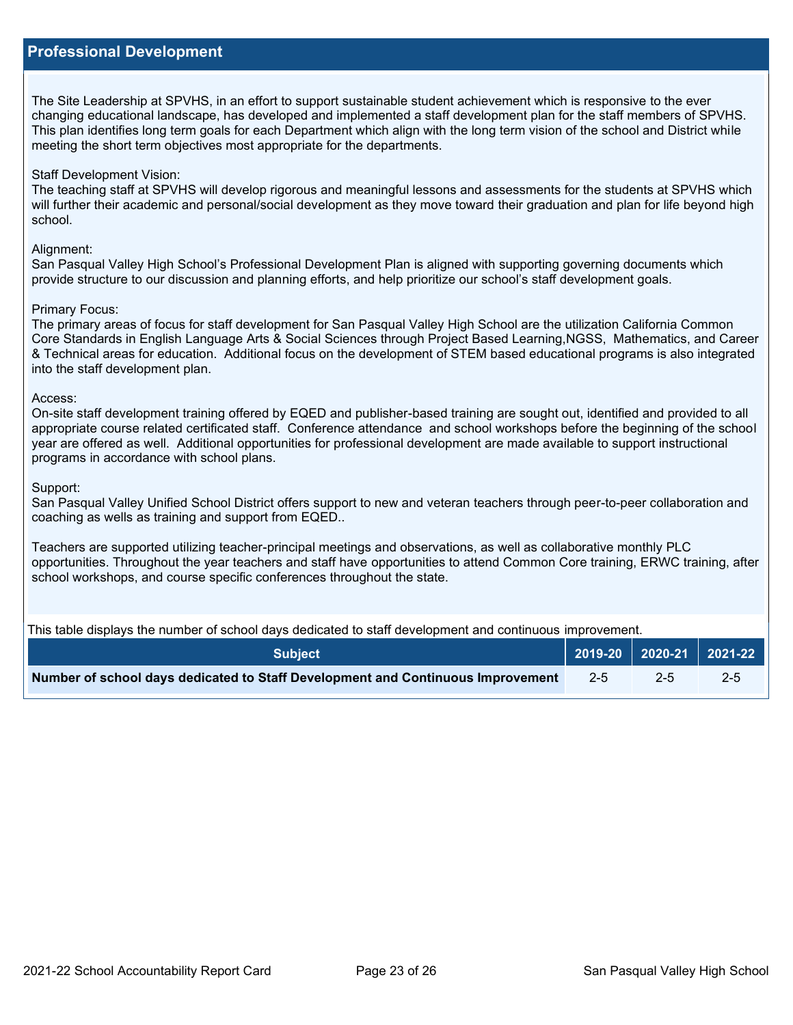The Site Leadership at SPVHS, in an effort to support sustainable student achievement which is responsive to the ever changing educational landscape, has developed and implemented a staff development plan for the staff members of SPVHS. This plan identifies long term goals for each Department which align with the long term vision of the school and District while meeting the short term objectives most appropriate for the departments.

#### Staff Development Vision:

The teaching staff at SPVHS will develop rigorous and meaningful lessons and assessments for the students at SPVHS which will further their academic and personal/social development as they move toward their graduation and plan for life beyond high school.

#### Alianment:

San Pasqual Valley High School's Professional Development Plan is aligned with supporting governing documents which provide structure to our discussion and planning efforts, and help prioritize our school's staff development goals.

#### Primary Focus:

The primary areas of focus for staff development for San Pasqual Valley High School are the utilization California Common Core Standards in English Language Arts & Social Sciences through Project Based Learning,NGSS, Mathematics, and Career & Technical areas for education. Additional focus on the development of STEM based educational programs is also integrated into the staff development plan.

#### Access:

On-site staff development training offered by EQED and publisher-based training are sought out, identified and provided to all appropriate course related certificated staff. Conference attendance and school workshops before the beginning of the school year are offered as well. Additional opportunities for professional development are made available to support instructional programs in accordance with school plans.

#### Support:

San Pasqual Valley Unified School District offers support to new and veteran teachers through peer-to-peer collaboration and coaching as wells as training and support from EQED..

Teachers are supported utilizing teacher-principal meetings and observations, as well as collaborative monthly PLC opportunities. Throughout the year teachers and staff have opportunities to attend Common Core training, ERWC training, after school workshops, and course specific conferences throughout the state.

This table displays the number of school days dedicated to staff development and continuous improvement.

| <b>Subject</b>                                                                  |  |         | 2019-20   2020-21   2021-22 |
|---------------------------------------------------------------------------------|--|---------|-----------------------------|
| Number of school days dedicated to Staff Development and Continuous Improvement |  | $2 - 5$ | $2 - 5$                     |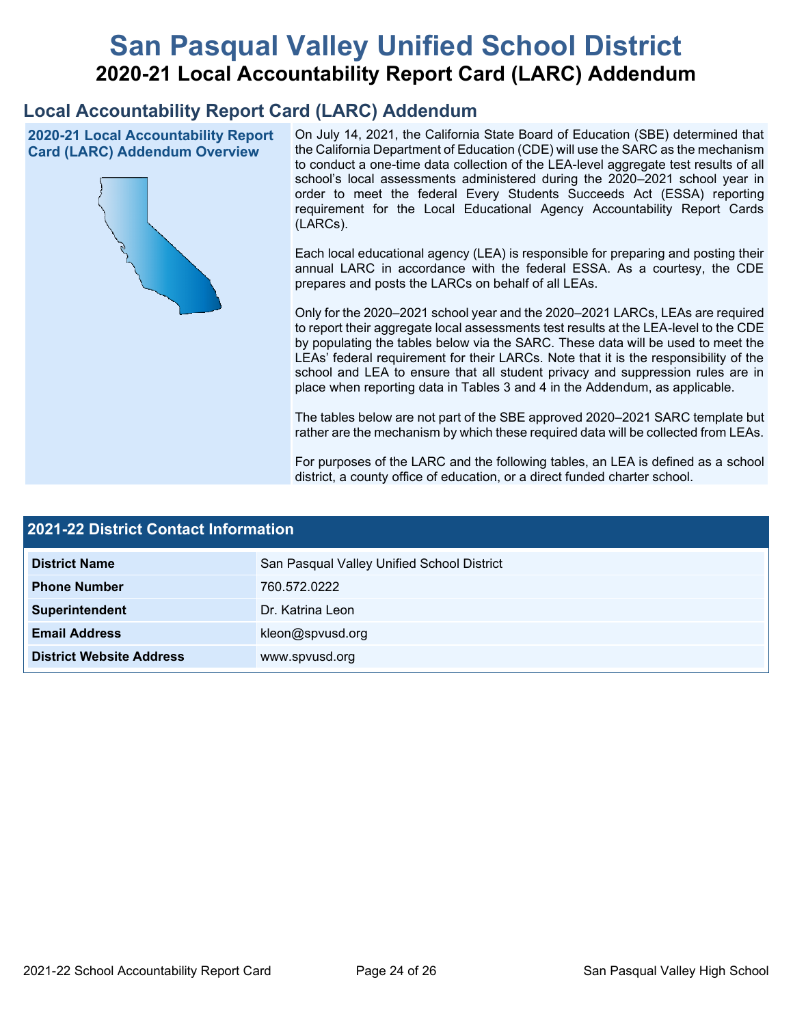# **San Pasqual Valley Unified School District 2020-21 Local Accountability Report Card (LARC) Addendum**

# **Local Accountability Report Card (LARC) Addendum**

**2020-21 Local Accountability Report Card (LARC) Addendum Overview**



On July 14, 2021, the California State Board of Education (SBE) determined that the California Department of Education (CDE) will use the SARC as the mechanism to conduct a one-time data collection of the LEA-level aggregate test results of all school's local assessments administered during the 2020–2021 school year in order to meet the federal Every Students Succeeds Act (ESSA) reporting requirement for the Local Educational Agency Accountability Report Cards (LARCs).

Each local educational agency (LEA) is responsible for preparing and posting their annual LARC in accordance with the federal ESSA. As a courtesy, the CDE prepares and posts the LARCs on behalf of all LEAs.

Only for the 2020–2021 school year and the 2020–2021 LARCs, LEAs are required to report their aggregate local assessments test results at the LEA-level to the CDE by populating the tables below via the SARC. These data will be used to meet the LEAs' federal requirement for their LARCs. Note that it is the responsibility of the school and LEA to ensure that all student privacy and suppression rules are in place when reporting data in Tables 3 and 4 in the Addendum, as applicable.

The tables below are not part of the SBE approved 2020–2021 SARC template but rather are the mechanism by which these required data will be collected from LEAs.

For purposes of the LARC and the following tables, an LEA is defined as a school district, a county office of education, or a direct funded charter school.

| <b>2021-22 District Contact Information</b> |                                            |  |  |  |  |
|---------------------------------------------|--------------------------------------------|--|--|--|--|
| <b>District Name</b>                        | San Pasqual Valley Unified School District |  |  |  |  |
| <b>Phone Number</b>                         | 760.572.0222                               |  |  |  |  |
| Superintendent                              | Dr. Katrina Leon                           |  |  |  |  |
| <b>Email Address</b>                        | kleon@spvusd.org                           |  |  |  |  |
| <b>District Website Address</b>             | www.spvusd.org                             |  |  |  |  |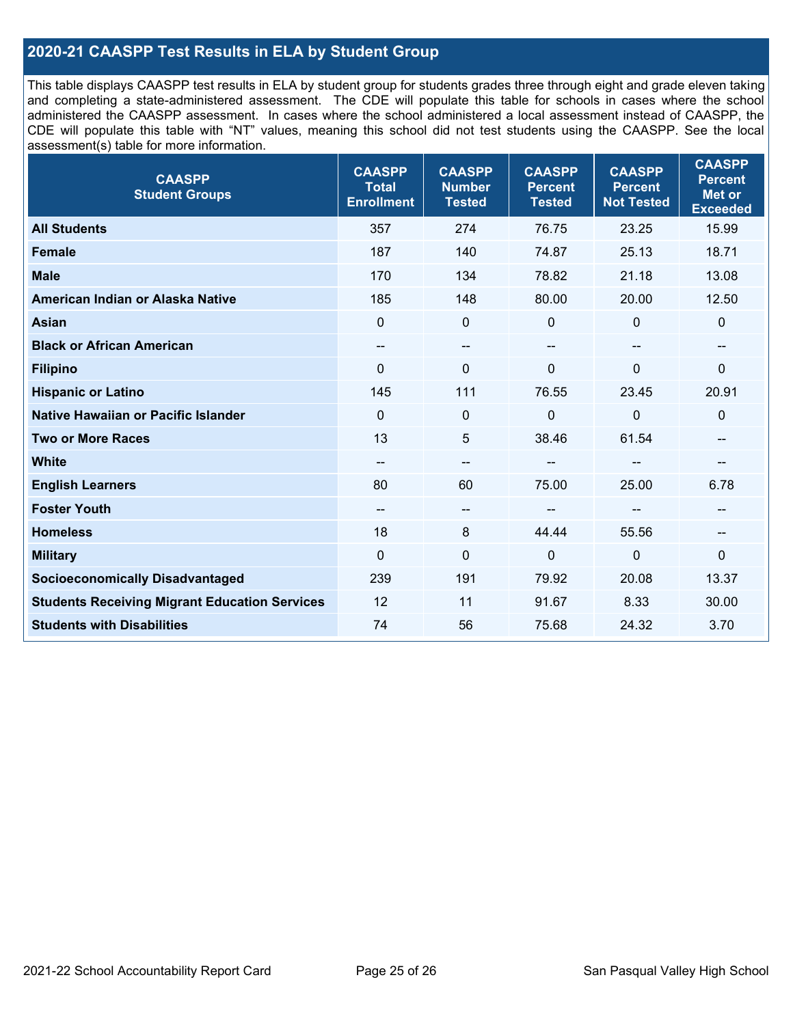### **2020-21 CAASPP Test Results in ELA by Student Group**

This table displays CAASPP test results in ELA by student group for students grades three through eight and grade eleven taking and completing a state-administered assessment. The CDE will populate this table for schools in cases where the school administered the CAASPP assessment. In cases where the school administered a local assessment instead of CAASPP, the CDE will populate this table with "NT" values, meaning this school did not test students using the CAASPP. See the local assessment(s) table for more information.

| <b>CAASPP</b><br><b>Total</b><br><b>Enrollment</b> | <b>CAASPP</b><br><b>Number</b><br><b>Tested</b> | <b>CAASPP</b><br><b>Percent</b><br><b>Tested</b> | <b>CAASPP</b><br><b>Percent</b><br><b>Not Tested</b> | <b>CAASPP</b><br><b>Percent</b><br>Met or<br><b>Exceeded</b> |
|----------------------------------------------------|-------------------------------------------------|--------------------------------------------------|------------------------------------------------------|--------------------------------------------------------------|
| 357                                                | 274                                             | 76.75                                            | 23.25                                                | 15.99                                                        |
| 187                                                | 140                                             | 74.87                                            | 25.13                                                | 18.71                                                        |
| 170                                                | 134                                             | 78.82                                            | 21.18                                                | 13.08                                                        |
| 185                                                | 148                                             | 80.00                                            | 20.00                                                | 12.50                                                        |
| $\mathbf{0}$                                       | $\pmb{0}$                                       | $\mathbf 0$                                      | $\Omega$                                             | 0                                                            |
| --                                                 | $\overline{\phantom{m}}$                        | --                                               | $\overline{\phantom{a}}$                             | --                                                           |
| $\Omega$                                           | $\mathbf 0$                                     | $\Omega$                                         | $\overline{0}$                                       | 0                                                            |
| 145                                                | 111                                             | 76.55                                            | 23.45                                                | 20.91                                                        |
| $\mathbf 0$                                        | $\pmb{0}$                                       | 0                                                | $\overline{0}$                                       | 0                                                            |
| 13                                                 | 5                                               | 38.46                                            | 61.54                                                | --                                                           |
| $\qquad \qquad -$                                  | $\overline{\phantom{m}}$                        |                                                  | --                                                   | --                                                           |
| 80                                                 | 60                                              | 75.00                                            | 25.00                                                | 6.78                                                         |
| --                                                 | $\overline{\phantom{a}}$                        |                                                  | --                                                   | --                                                           |
| 18                                                 | 8                                               | 44.44                                            | 55.56                                                | --                                                           |
| $\mathbf 0$                                        | $\mathbf 0$                                     | $\mathbf 0$                                      | $\mathbf 0$                                          | $\mathbf 0$                                                  |
| 239                                                | 191                                             | 79.92                                            | 20.08                                                | 13.37                                                        |
| 12                                                 | 11                                              | 91.67                                            | 8.33                                                 | 30.00                                                        |
| 74                                                 | 56                                              | 75.68                                            | 24.32                                                | 3.70                                                         |
|                                                    |                                                 |                                                  |                                                      |                                                              |